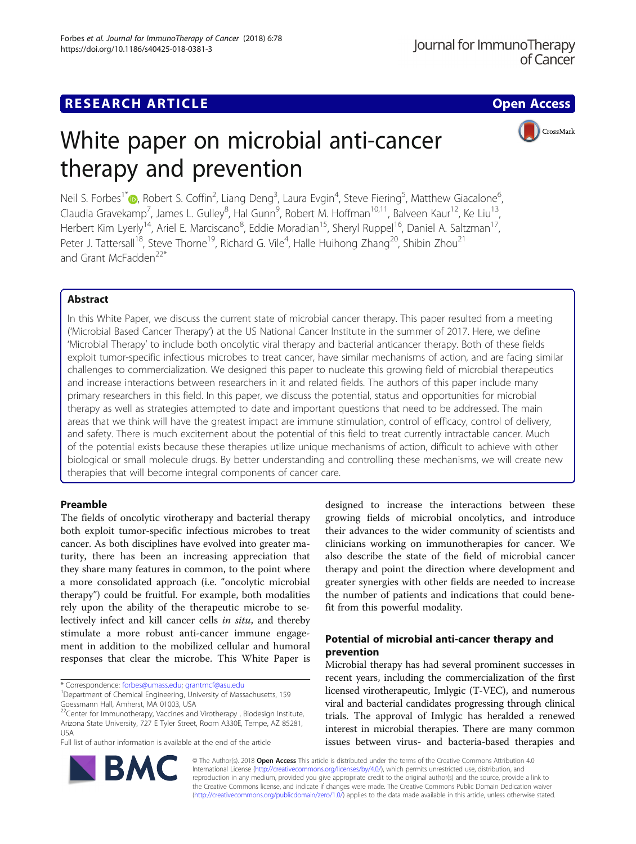## **RESEARCH ARTICLE Example 2014 12:30 The Contract of Contract Article Contract Open Access**

CrossMark

# White paper on microbial anti-cancer therapy and prevention

Neil S. Forbes<sup>1[\\*](http://orcid.org/0000-0002-4745-753X)</sup> D, Robert S. Coffin<sup>2</sup>, Liang Deng<sup>3</sup>, Laura Evgin<sup>4</sup>, Steve Fiering<sup>5</sup>, Matthew Giacalone<sup>6</sup> , Claudia Gravekamp<sup>7</sup>, James L. Gulley<sup>8</sup>, Hal Gunn<sup>9</sup>, Robert M. Hoffman<sup>10,11</sup>, Balveen Kaur<sup>12</sup>, Ke Liu<sup>13</sup>, Herbert Kim Lyerly<sup>14</sup>, Ariel E. Marciscano<sup>8</sup>, Eddie Moradian<sup>15</sup>, Sheryl Ruppel<sup>16</sup>, Daniel A. Saltzman<sup>17</sup>, Peter J. Tattersall<sup>18</sup>, Steve Thorne<sup>19</sup>, Richard G. Vile<sup>4</sup>, Halle Huihong Zhang<sup>20</sup>, Shibin Zhou<sup>21</sup> and Grant McFadden<sup>22\*</sup>

## Abstract

In this White Paper, we discuss the current state of microbial cancer therapy. This paper resulted from a meeting ('Microbial Based Cancer Therapy') at the US National Cancer Institute in the summer of 2017. Here, we define 'Microbial Therapy' to include both oncolytic viral therapy and bacterial anticancer therapy. Both of these fields exploit tumor-specific infectious microbes to treat cancer, have similar mechanisms of action, and are facing similar challenges to commercialization. We designed this paper to nucleate this growing field of microbial therapeutics and increase interactions between researchers in it and related fields. The authors of this paper include many primary researchers in this field. In this paper, we discuss the potential, status and opportunities for microbial therapy as well as strategies attempted to date and important questions that need to be addressed. The main areas that we think will have the greatest impact are immune stimulation, control of efficacy, control of delivery, and safety. There is much excitement about the potential of this field to treat currently intractable cancer. Much of the potential exists because these therapies utilize unique mechanisms of action, difficult to achieve with other biological or small molecule drugs. By better understanding and controlling these mechanisms, we will create new therapies that will become integral components of cancer care.

## Preamble

The fields of oncolytic virotherapy and bacterial therapy both exploit tumor-specific infectious microbes to treat cancer. As both disciplines have evolved into greater maturity, there has been an increasing appreciation that they share many features in common, to the point where a more consolidated approach (i.e. "oncolytic microbial therapy") could be fruitful. For example, both modalities rely upon the ability of the therapeutic microbe to selectively infect and kill cancer cells in situ, and thereby stimulate a more robust anti-cancer immune engagement in addition to the mobilized cellular and humoral responses that clear the microbe. This White Paper is

\* Correspondence: [forbes@umass.edu](mailto:forbes@umass.edu); [grantmcf@asu.edu](mailto:grantmcf@asu.edu) <sup>1</sup>

BA

Full list of author information is available at the end of the article



## Potential of microbial anti-cancer therapy and prevention

Microbial therapy has had several prominent successes in recent years, including the commercialization of the first licensed virotherapeutic, Imlygic (T-VEC), and numerous viral and bacterial candidates progressing through clinical trials. The approval of Imlygic has heralded a renewed interest in microbial therapies. There are many common issues between virus- and bacteria-based therapies and



<sup>&</sup>lt;sup>1</sup>Department of Chemical Engineering, University of Massachusetts, 159 Goessmann Hall, Amherst, MA 01003, USA

<sup>&</sup>lt;sup>22</sup>Center for Immunotherapy, Vaccines and Virotherapy, Biodesign Institute, Arizona State University, 727 E Tyler Street, Room A330E, Tempe, AZ 85281, USA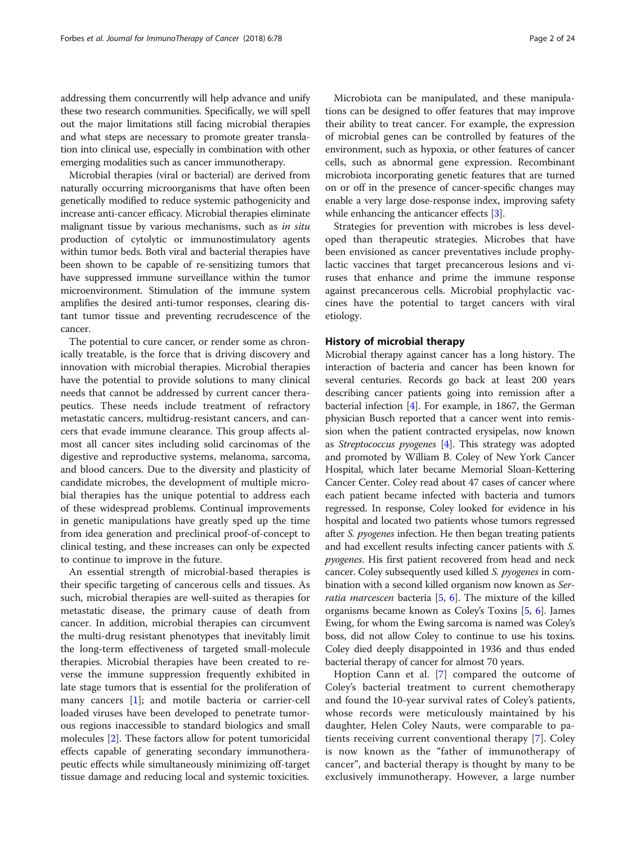addressing them concurrently will help advance and unify these two research communities. Specifically, we will spell out the major limitations still facing microbial therapies and what steps are necessary to promote greater translation into clinical use, especially in combination with other emerging modalities such as cancer immunotherapy.

Microbial therapies (viral or bacterial) are derived from naturally occurring microorganisms that have often been genetically modified to reduce systemic pathogenicity and increase anti-cancer efficacy. Microbial therapies eliminate malignant tissue by various mechanisms, such as in situ production of cytolytic or immunostimulatory agents within tumor beds. Both viral and bacterial therapies have been shown to be capable of re-sensitizing tumors that have suppressed immune surveillance within the tumor microenvironment. Stimulation of the immune system amplifies the desired anti-tumor responses, clearing distant tumor tissue and preventing recrudescence of the cancer.

The potential to cure cancer, or render some as chronically treatable, is the force that is driving discovery and innovation with microbial therapies. Microbial therapies have the potential to provide solutions to many clinical needs that cannot be addressed by current cancer therapeutics. These needs include treatment of refractory metastatic cancers, multidrug-resistant cancers, and cancers that evade immune clearance. This group affects almost all cancer sites including solid carcinomas of the digestive and reproductive systems, melanoma, sarcoma, and blood cancers. Due to the diversity and plasticity of candidate microbes, the development of multiple microbial therapies has the unique potential to address each of these widespread problems. Continual improvements in genetic manipulations have greatly sped up the time from idea generation and preclinical proof-of-concept to clinical testing, and these increases can only be expected to continue to improve in the future.

An essential strength of microbial-based therapies is their specific targeting of cancerous cells and tissues. As such, microbial therapies are well-suited as therapies for metastatic disease, the primary cause of death from cancer. In addition, microbial therapies can circumvent the multi-drug resistant phenotypes that inevitably limit the long-term effectiveness of targeted small-molecule therapies. Microbial therapies have been created to reverse the immune suppression frequently exhibited in late stage tumors that is essential for the proliferation of many cancers [[1\]](#page-18-0); and motile bacteria or carrier-cell loaded viruses have been developed to penetrate tumorous regions inaccessible to standard biologics and small molecules [[2\]](#page-18-0). These factors allow for potent tumoricidal effects capable of generating secondary immunotherapeutic effects while simultaneously minimizing off-target tissue damage and reducing local and systemic toxicities.

Microbiota can be manipulated, and these manipulations can be designed to offer features that may improve their ability to treat cancer. For example, the expression of microbial genes can be controlled by features of the environment, such as hypoxia, or other features of cancer cells, such as abnormal gene expression. Recombinant microbiota incorporating genetic features that are turned on or off in the presence of cancer-specific changes may enable a very large dose-response index, improving safety while enhancing the anticancer effects [[3\]](#page-18-0).

Strategies for prevention with microbes is less developed than therapeutic strategies. Microbes that have been envisioned as cancer preventatives include prophylactic vaccines that target precancerous lesions and viruses that enhance and prime the immune response against precancerous cells. Microbial prophylactic vaccines have the potential to target cancers with viral etiology.

#### History of microbial therapy

Microbial therapy against cancer has a long history. The interaction of bacteria and cancer has been known for several centuries. Records go back at least 200 years describing cancer patients going into remission after a bacterial infection [[4\]](#page-18-0). For example, in 1867, the German physician Busch reported that a cancer went into remission when the patient contracted erysipelas, now known as Streptococcus pyogenes [\[4\]](#page-18-0). This strategy was adopted and promoted by William B. Coley of New York Cancer Hospital, which later became Memorial Sloan-Kettering Cancer Center. Coley read about 47 cases of cancer where each patient became infected with bacteria and tumors regressed. In response, Coley looked for evidence in his hospital and located two patients whose tumors regressed after S. pyogenes infection. He then began treating patients and had excellent results infecting cancer patients with S. pyogenes. His first patient recovered from head and neck cancer. Coley subsequently used killed S. pyogenes in combination with a second killed organism now known as Ser*ratia marcescen* bacteria  $[5, 6]$  $[5, 6]$  $[5, 6]$  $[5, 6]$ . The mixture of the killed organisms became known as Coley's Toxins [\[5,](#page-18-0) [6](#page-18-0)]. James Ewing, for whom the Ewing sarcoma is named was Coley's boss, did not allow Coley to continue to use his toxins. Coley died deeply disappointed in 1936 and thus ended bacterial therapy of cancer for almost 70 years.

Hoption Cann et al. [[7\]](#page-18-0) compared the outcome of Coley's bacterial treatment to current chemotherapy and found the 10-year survival rates of Coley's patients, whose records were meticulously maintained by his daughter, Helen Coley Nauts, were comparable to patients receiving current conventional therapy [\[7](#page-18-0)]. Coley is now known as the "father of immunotherapy of cancer", and bacterial therapy is thought by many to be exclusively immunotherapy. However, a large number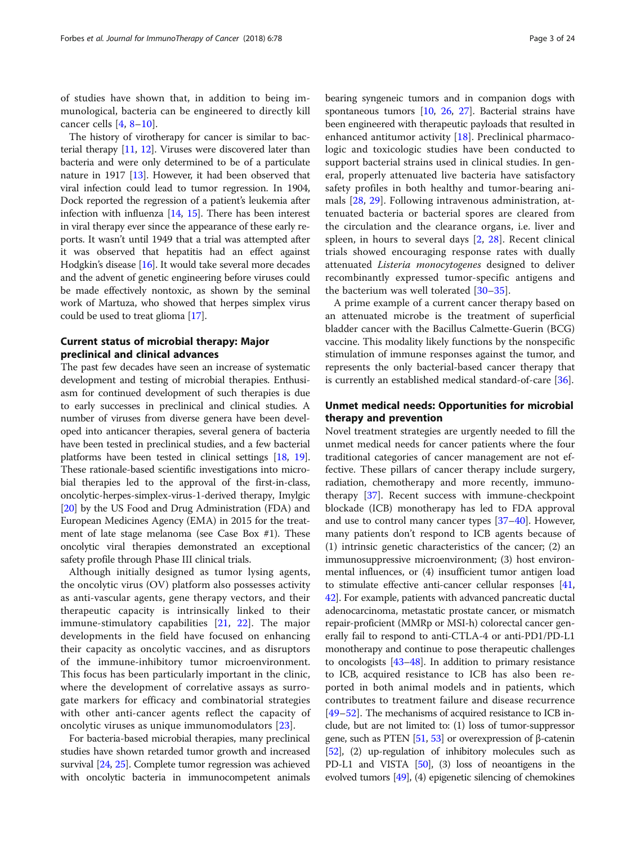of studies have shown that, in addition to being immunological, bacteria can be engineered to directly kill cancer cells [\[4](#page-18-0), [8](#page-18-0)–[10](#page-18-0)].

The history of virotherapy for cancer is similar to bacterial therapy [[11](#page-18-0), [12\]](#page-18-0). Viruses were discovered later than bacteria and were only determined to be of a particulate nature in 1917 [\[13\]](#page-18-0). However, it had been observed that viral infection could lead to tumor regression. In 1904, Dock reported the regression of a patient's leukemia after infection with influenza [[14,](#page-18-0) [15\]](#page-19-0). There has been interest in viral therapy ever since the appearance of these early reports. It wasn't until 1949 that a trial was attempted after it was observed that hepatitis had an effect against Hodgkin's disease [[16\]](#page-19-0). It would take several more decades and the advent of genetic engineering before viruses could be made effectively nontoxic, as shown by the seminal work of Martuza, who showed that herpes simplex virus could be used to treat glioma [[17\]](#page-19-0).

## Current status of microbial therapy: Major preclinical and clinical advances

The past few decades have seen an increase of systematic development and testing of microbial therapies. Enthusiasm for continued development of such therapies is due to early successes in preclinical and clinical studies. A number of viruses from diverse genera have been developed into anticancer therapies, several genera of bacteria have been tested in preclinical studies, and a few bacterial platforms have been tested in clinical settings [\[18,](#page-19-0) [19](#page-19-0)]. These rationale-based scientific investigations into microbial therapies led to the approval of the first-in-class, oncolytic-herpes-simplex-virus-1-derived therapy, Imylgic [[20](#page-19-0)] by the US Food and Drug Administration (FDA) and European Medicines Agency (EMA) in 2015 for the treatment of late stage melanoma (see Case Box #1). These oncolytic viral therapies demonstrated an exceptional safety profile through Phase III clinical trials.

Although initially designed as tumor lysing agents, the oncolytic virus (OV) platform also possesses activity as anti-vascular agents, gene therapy vectors, and their therapeutic capacity is intrinsically linked to their immune-stimulatory capabilities [[21,](#page-19-0) [22](#page-19-0)]. The major developments in the field have focused on enhancing their capacity as oncolytic vaccines, and as disruptors of the immune-inhibitory tumor microenvironment. This focus has been particularly important in the clinic, where the development of correlative assays as surrogate markers for efficacy and combinatorial strategies with other anti-cancer agents reflect the capacity of oncolytic viruses as unique immunomodulators [\[23](#page-19-0)].

For bacteria-based microbial therapies, many preclinical studies have shown retarded tumor growth and increased survival [\[24](#page-19-0), [25\]](#page-19-0). Complete tumor regression was achieved with oncolytic bacteria in immunocompetent animals bearing syngeneic tumors and in companion dogs with spontaneous tumors [[10](#page-18-0), [26,](#page-19-0) [27](#page-19-0)]. Bacterial strains have been engineered with therapeutic payloads that resulted in enhanced antitumor activity [\[18](#page-19-0)]. Preclinical pharmacologic and toxicologic studies have been conducted to support bacterial strains used in clinical studies. In general, properly attenuated live bacteria have satisfactory safety profiles in both healthy and tumor-bearing animals [[28,](#page-19-0) [29](#page-19-0)]. Following intravenous administration, attenuated bacteria or bacterial spores are cleared from the circulation and the clearance organs, i.e. liver and spleen, in hours to several days [\[2](#page-18-0), [28](#page-19-0)]. Recent clinical trials showed encouraging response rates with dually attenuated Listeria monocytogenes designed to deliver recombinantly expressed tumor-specific antigens and the bacterium was well tolerated [[30](#page-19-0)–[35\]](#page-19-0).

A prime example of a current cancer therapy based on an attenuated microbe is the treatment of superficial bladder cancer with the Bacillus Calmette-Guerin (BCG) vaccine. This modality likely functions by the nonspecific stimulation of immune responses against the tumor, and represents the only bacterial-based cancer therapy that is currently an established medical standard-of-care [\[36](#page-19-0)].

## Unmet medical needs: Opportunities for microbial therapy and prevention

Novel treatment strategies are urgently needed to fill the unmet medical needs for cancer patients where the four traditional categories of cancer management are not effective. These pillars of cancer therapy include surgery, radiation, chemotherapy and more recently, immunotherapy [[37\]](#page-19-0). Recent success with immune-checkpoint blockade (ICB) monotherapy has led to FDA approval and use to control many cancer types [\[37](#page-19-0)–[40](#page-19-0)]. However, many patients don't respond to ICB agents because of (1) intrinsic genetic characteristics of the cancer; (2) an immunosuppressive microenvironment; (3) host environmental influences, or (4) insufficient tumor antigen load to stimulate effective anti-cancer cellular responses [[41](#page-19-0), [42](#page-19-0)]. For example, patients with advanced pancreatic ductal adenocarcinoma, metastatic prostate cancer, or mismatch repair-proficient (MMRp or MSI-h) colorectal cancer generally fail to respond to anti-CTLA-4 or anti-PD1/PD-L1 monotherapy and continue to pose therapeutic challenges to oncologists [[43](#page-19-0)–[48\]](#page-19-0). In addition to primary resistance to ICB, acquired resistance to ICB has also been reported in both animal models and in patients, which contributes to treatment failure and disease recurrence [[49](#page-19-0)–[52\]](#page-19-0). The mechanisms of acquired resistance to ICB include, but are not limited to: (1) loss of tumor-suppressor gene, such as PTEN [\[51,](#page-19-0) [53](#page-19-0)] or overexpression of β-catenin [[52](#page-19-0)], (2) up-regulation of inhibitory molecules such as PD-L1 and VISTA  $[50]$ , (3) loss of neoantigens in the evolved tumors [\[49\]](#page-19-0), (4) epigenetic silencing of chemokines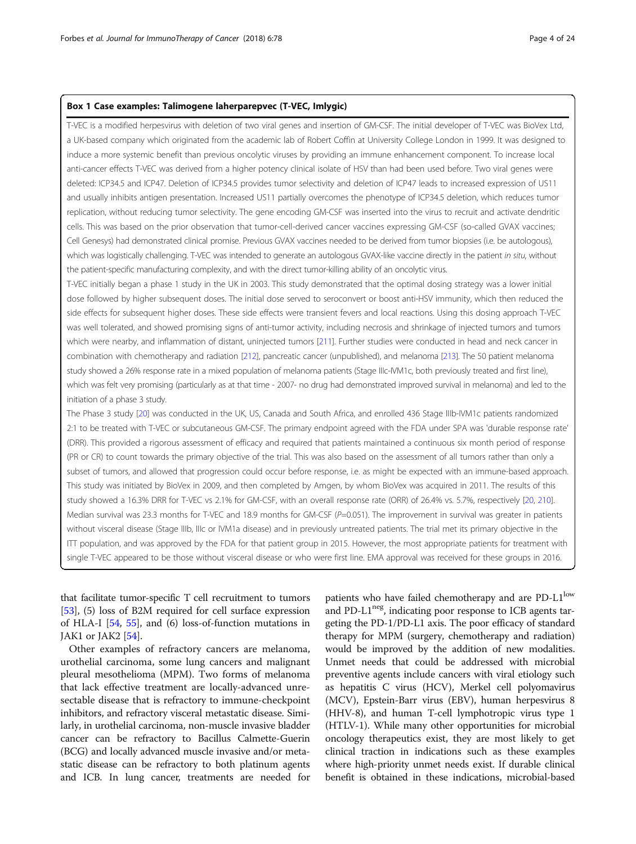## Box 1 Case examples: Talimogene laherparepvec (T-VEC, Imlygic)

T-VEC is a modified herpesvirus with deletion of two viral genes and insertion of GM-CSF. The initial developer of T-VEC was BioVex Ltd, a UK-based company which originated from the academic lab of Robert Coffin at University College London in 1999. It was designed to induce a more systemic benefit than previous oncolytic viruses by providing an immune enhancement component. To increase local anti-cancer effects T-VEC was derived from a higher potency clinical isolate of HSV than had been used before. Two viral genes were deleted: ICP34.5 and ICP47. Deletion of ICP34.5 provides tumor selectivity and deletion of ICP47 leads to increased expression of US11 and usually inhibits antigen presentation. Increased US11 partially overcomes the phenotype of ICP34.5 deletion, which reduces tumor replication, without reducing tumor selectivity. The gene encoding GM-CSF was inserted into the virus to recruit and activate dendritic cells. This was based on the prior observation that tumor-cell-derived cancer vaccines expressing GM-CSF (so-called GVAX vaccines; Cell Genesys) had demonstrated clinical promise. Previous GVAX vaccines needed to be derived from tumor biopsies (i.e. be autologous), which was logistically challenging. T-VEC was intended to generate an autologous GVAX-like vaccine directly in the patient in situ, without the patient-specific manufacturing complexity, and with the direct tumor-killing ability of an oncolytic virus.

T-VEC initially began a phase 1 study in the UK in 2003. This study demonstrated that the optimal dosing strategy was a lower initial dose followed by higher subsequent doses. The initial dose served to seroconvert or boost anti-HSV immunity, which then reduced the side effects for subsequent higher doses. These side effects were transient fevers and local reactions. Using this dosing approach T-VEC was well tolerated, and showed promising signs of anti-tumor activity, including necrosis and shrinkage of injected tumors and tumors which were nearby, and inflammation of distant, uninjected tumors [[211](#page-23-0)]. Further studies were conducted in head and neck cancer in combination with chemotherapy and radiation [\[212](#page-23-0)], pancreatic cancer (unpublished), and melanoma [\[213](#page-23-0)]. The 50 patient melanoma study showed a 26% response rate in a mixed population of melanoma patients (Stage IIIc-IVM1c, both previously treated and first line), which was felt very promising (particularly as at that time - 2007- no drug had demonstrated improved survival in melanoma) and led to the initiation of a phase 3 study.

The Phase 3 study [[20\]](#page-19-0) was conducted in the UK, US, Canada and South Africa, and enrolled 436 Stage IIIb-IVM1c patients randomized 2:1 to be treated with T-VEC or subcutaneous GM-CSF. The primary endpoint agreed with the FDA under SPA was 'durable response rate' (DRR). This provided a rigorous assessment of efficacy and required that patients maintained a continuous six month period of response (PR or CR) to count towards the primary objective of the trial. This was also based on the assessment of all tumors rather than only a subset of tumors, and allowed that progression could occur before response, i.e. as might be expected with an immune-based approach. This study was initiated by BioVex in 2009, and then completed by Amgen, by whom BioVex was acquired in 2011. The results of this study showed a 16.3% DRR for T-VEC vs 2.1% for GM-CSF, with an overall response rate (ORR) of 26.4% vs. 5.7%, respectively [[20,](#page-19-0) [210](#page-23-0)]. Median survival was 23.3 months for T-VEC and 18.9 months for GM-CSF ( $P=0.051$ ). The improvement in survival was greater in patients without visceral disease (Stage IIIb, IIIc or IVM1a disease) and in previously untreated patients. The trial met its primary objective in the ITT population, and was approved by the FDA for that patient group in 2015. However, the most appropriate patients for treatment with single T-VEC appeared to be those without visceral disease or who were first line. EMA approval was received for these groups in 2016.

that facilitate tumor-specific T cell recruitment to tumors [[53](#page-19-0)], (5) loss of B2M required for cell surface expression of HLA-I [\[54](#page-19-0), [55\]](#page-19-0), and (6) loss-of-function mutations in JAK1 or JAK2 [[54](#page-19-0)].

Other examples of refractory cancers are melanoma, urothelial carcinoma, some lung cancers and malignant pleural mesothelioma (MPM). Two forms of melanoma that lack effective treatment are locally-advanced unresectable disease that is refractory to immune-checkpoint inhibitors, and refractory visceral metastatic disease. Similarly, in urothelial carcinoma, non-muscle invasive bladder cancer can be refractory to Bacillus Calmette-Guerin (BCG) and locally advanced muscle invasive and/or metastatic disease can be refractory to both platinum agents and ICB. In lung cancer, treatments are needed for

patients who have failed chemotherapy and are PD-L1<sup>low</sup> and PD-L1<sup>neg</sup>, indicating poor response to ICB agents targeting the PD-1/PD-L1 axis. The poor efficacy of standard therapy for MPM (surgery, chemotherapy and radiation) would be improved by the addition of new modalities. Unmet needs that could be addressed with microbial preventive agents include cancers with viral etiology such as hepatitis C virus (HCV), Merkel cell polyomavirus (MCV), Epstein-Barr virus (EBV), human herpesvirus 8 (HHV-8), and human T-cell lymphotropic virus type 1 (HTLV-1). While many other opportunities for microbial oncology therapeutics exist, they are most likely to get clinical traction in indications such as these examples where high-priority unmet needs exist. If durable clinical benefit is obtained in these indications, microbial-based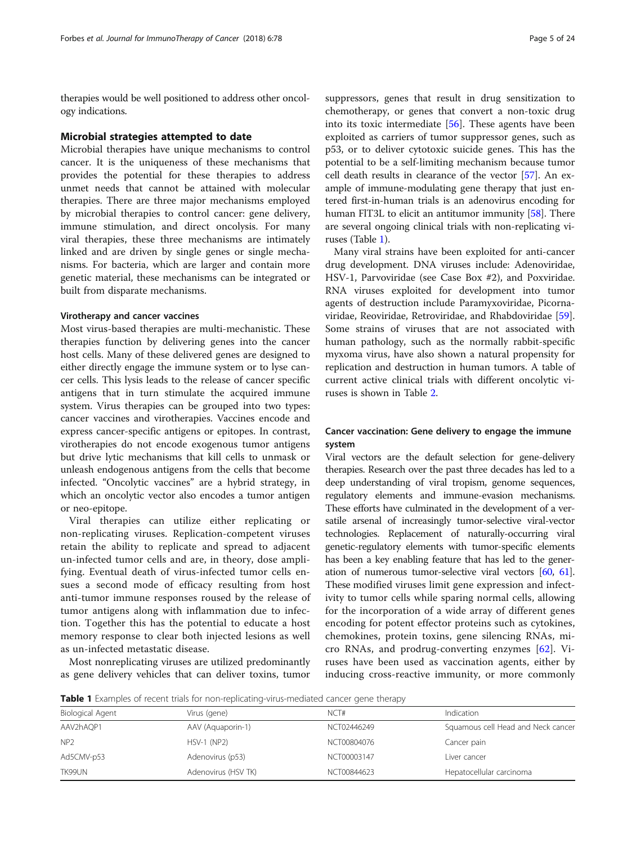therapies would be well positioned to address other oncology indications.

#### Microbial strategies attempted to date

Microbial therapies have unique mechanisms to control cancer. It is the uniqueness of these mechanisms that provides the potential for these therapies to address unmet needs that cannot be attained with molecular therapies. There are three major mechanisms employed by microbial therapies to control cancer: gene delivery, immune stimulation, and direct oncolysis. For many viral therapies, these three mechanisms are intimately linked and are driven by single genes or single mechanisms. For bacteria, which are larger and contain more genetic material, these mechanisms can be integrated or built from disparate mechanisms.

#### Virotherapy and cancer vaccines

Most virus-based therapies are multi-mechanistic. These therapies function by delivering genes into the cancer host cells. Many of these delivered genes are designed to either directly engage the immune system or to lyse cancer cells. This lysis leads to the release of cancer specific antigens that in turn stimulate the acquired immune system. Virus therapies can be grouped into two types: cancer vaccines and virotherapies. Vaccines encode and express cancer-specific antigens or epitopes. In contrast, virotherapies do not encode exogenous tumor antigens but drive lytic mechanisms that kill cells to unmask or unleash endogenous antigens from the cells that become infected. "Oncolytic vaccines" are a hybrid strategy, in which an oncolytic vector also encodes a tumor antigen or neo-epitope.

Viral therapies can utilize either replicating or non-replicating viruses. Replication-competent viruses retain the ability to replicate and spread to adjacent un-infected tumor cells and are, in theory, dose amplifying. Eventual death of virus-infected tumor cells ensues a second mode of efficacy resulting from host anti-tumor immune responses roused by the release of tumor antigens along with inflammation due to infection. Together this has the potential to educate a host memory response to clear both injected lesions as well as un-infected metastatic disease.

Most nonreplicating viruses are utilized predominantly as gene delivery vehicles that can deliver toxins, tumor suppressors, genes that result in drug sensitization to chemotherapy, or genes that convert a non-toxic drug into its toxic intermediate  $[56]$  $[56]$ . These agents have been exploited as carriers of tumor suppressor genes, such as p53, or to deliver cytotoxic suicide genes. This has the potential to be a self-limiting mechanism because tumor cell death results in clearance of the vector [\[57\]](#page-19-0). An example of immune-modulating gene therapy that just entered first-in-human trials is an adenovirus encoding for human FIT3L to elicit an antitumor immunity [\[58\]](#page-19-0). There are several ongoing clinical trials with non-replicating viruses (Table 1).

Many viral strains have been exploited for anti-cancer drug development. DNA viruses include: Adenoviridae, HSV-1, Parvoviridae (see Case Box #2), and Poxviridae. RNA viruses exploited for development into tumor agents of destruction include Paramyxoviridae, Picornaviridae, Reoviridae, Retroviridae, and Rhabdoviridae [\[59](#page-19-0)]. Some strains of viruses that are not associated with human pathology, such as the normally rabbit-specific myxoma virus, have also shown a natural propensity for replication and destruction in human tumors. A table of current active clinical trials with different oncolytic viruses is shown in Table [2](#page-5-0).

## Cancer vaccination: Gene delivery to engage the immune system

Viral vectors are the default selection for gene-delivery therapies. Research over the past three decades has led to a deep understanding of viral tropism, genome sequences, regulatory elements and immune-evasion mechanisms. These efforts have culminated in the development of a versatile arsenal of increasingly tumor-selective viral-vector technologies. Replacement of naturally-occurring viral genetic-regulatory elements with tumor-specific elements has been a key enabling feature that has led to the generation of numerous tumor-selective viral vectors [\[60](#page-19-0), [61](#page-20-0)]. These modified viruses limit gene expression and infectivity to tumor cells while sparing normal cells, allowing for the incorporation of a wide array of different genes encoding for potent effector proteins such as cytokines, chemokines, protein toxins, gene silencing RNAs, micro RNAs, and prodrug-converting enzymes [\[62](#page-20-0)]. Viruses have been used as vaccination agents, either by inducing cross-reactive immunity, or more commonly

**Table 1** Examples of recent trials for non-replicating-virus-mediated cancer gene therapy

| Biological Agent | Virus (gene)        | NCT#        | Indication                         |
|------------------|---------------------|-------------|------------------------------------|
| AAV2hAQP1        | AAV (Aquaporin-1)   | NCT02446249 | Squamous cell Head and Neck cancer |
| NP <sub>2</sub>  | <b>HSV-1 (NP2)</b>  | NCT00804076 | Cancer pain                        |
| Ad5CMV-p53       | Adenovirus (p53)    | NCT00003147 | Liver cancer                       |
| TK99UN           | Adenovirus (HSV TK) | NCT00844623 | Hepatocellular carcinoma           |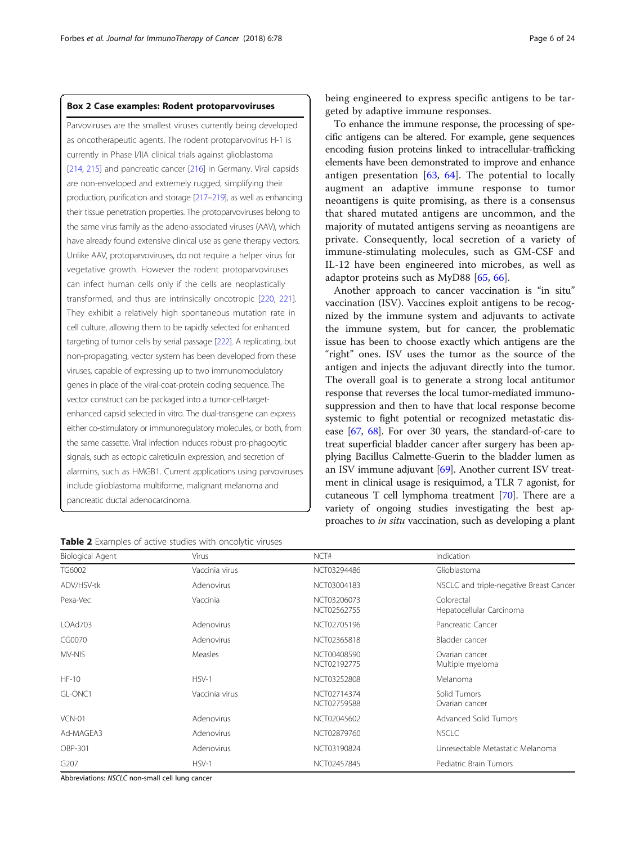## <span id="page-5-0"></span>Box 2 Case examples: Rodent protoparvoviruses

Parvoviruses are the smallest viruses currently being developed as oncotherapeutic agents. The rodent protoparvovirus H-1 is currently in Phase I/IIA clinical trials against glioblastoma [[214](#page-23-0), [215](#page-23-0)] and pancreatic cancer [\[216](#page-23-0)] in Germany. Viral capsids are non-enveloped and extremely rugged, simplifying their production, purification and storage [\[217](#page-23-0)–[219](#page-23-0)], as well as enhancing their tissue penetration properties. The protoparvoviruses belong to the same virus family as the adeno-associated viruses (AAV), which have already found extensive clinical use as gene therapy vectors. Unlike AAV, protoparvoviruses, do not require a helper virus for vegetative growth. However the rodent protoparvoviruses can infect human cells only if the cells are neoplastically transformed, and thus are intrinsically oncotropic [\[220,](#page-23-0) [221](#page-23-0)]. They exhibit a relatively high spontaneous mutation rate in cell culture, allowing them to be rapidly selected for enhanced targeting of tumor cells by serial passage [\[222\]](#page-23-0). A replicating, but non-propagating, vector system has been developed from these viruses, capable of expressing up to two immunomodulatory genes in place of the viral-coat-protein coding sequence. The vector construct can be packaged into a tumor-cell-targetenhanced capsid selected in vitro. The dual-transgene can express either co-stimulatory or immunoregulatory molecules, or both, from the same cassette. Viral infection induces robust pro-phagocytic signals, such as ectopic calreticulin expression, and secretion of alarmins, such as HMGB1. Current applications using parvoviruses include glioblastoma multiforme, malignant melanoma and pancreatic ductal adenocarcinoma.

being engineered to express specific antigens to be targeted by adaptive immune responses.

To enhance the immune response, the processing of specific antigens can be altered. For example, gene sequences encoding fusion proteins linked to intracellular-trafficking elements have been demonstrated to improve and enhance antigen presentation  $[63, 64]$  $[63, 64]$  $[63, 64]$  $[63, 64]$ . The potential to locally augment an adaptive immune response to tumor neoantigens is quite promising, as there is a consensus that shared mutated antigens are uncommon, and the majority of mutated antigens serving as neoantigens are private. Consequently, local secretion of a variety of immune-stimulating molecules, such as GM-CSF and IL-12 have been engineered into microbes, as well as adaptor proteins such as MyD88 [[65](#page-20-0), [66](#page-20-0)].

Another approach to cancer vaccination is "in situ" vaccination (ISV). Vaccines exploit antigens to be recognized by the immune system and adjuvants to activate the immune system, but for cancer, the problematic issue has been to choose exactly which antigens are the "right" ones. ISV uses the tumor as the source of the antigen and injects the adjuvant directly into the tumor. The overall goal is to generate a strong local antitumor response that reverses the local tumor-mediated immunosuppression and then to have that local response become systemic to fight potential or recognized metastatic disease [[67](#page-20-0), [68](#page-20-0)]. For over 30 years, the standard-of-care to treat superficial bladder cancer after surgery has been applying Bacillus Calmette-Guerin to the bladder lumen as an ISV immune adjuvant [\[69\]](#page-20-0). Another current ISV treatment in clinical usage is resiquimod, a TLR 7 agonist, for cutaneous T cell lymphoma treatment [\[70](#page-20-0)]. There are a variety of ongoing studies investigating the best approaches to in situ vaccination, such as developing a plant

| Biological Agent | <b>Virus</b>   | NCT#                       | Indication                              |
|------------------|----------------|----------------------------|-----------------------------------------|
| TG6002           | Vaccinia virus | NCT03294486                | Glioblastoma                            |
| ADV/HSV-tk       | Adenovirus     | NCT03004183                | NSCLC and triple-negative Breast Cancer |
| Pexa-Vec         | Vaccinia       | NCT03206073<br>NCT02562755 | Colorectal<br>Hepatocellular Carcinoma  |
| LOAd703          | Adenovirus     | NCT02705196                | Pancreatic Cancer                       |
| CG0070           | Adenovirus     | NCT02365818                | Bladder cancer                          |
| MV-NIS           | <b>Measles</b> | NCT00408590<br>NCT02192775 | Ovarian cancer<br>Multiple myeloma      |
| $HF-10$          | $HSV-1$        | NCT03252808                | Melanoma                                |
| GL-ONC1          | Vaccinia virus | NCT02714374<br>NCT02759588 | Solid Tumors<br>Ovarian cancer          |
| <b>VCN-01</b>    | Adenovirus     | NCT02045602                | Advanced Solid Tumors                   |
| Ad-MAGEA3        | Adenovirus     | NCT02879760                | <b>NSCLC</b>                            |
| OBP-301          | Adenovirus     | NCT03190824                | Unresectable Metastatic Melanoma        |
| G <sub>207</sub> | $HSV-1$        | NCT02457845                | Pediatric Brain Tumors                  |

Table 2 Examples of active studies with oncolytic viruses

Abbreviations: NSCLC non-small cell lung cancer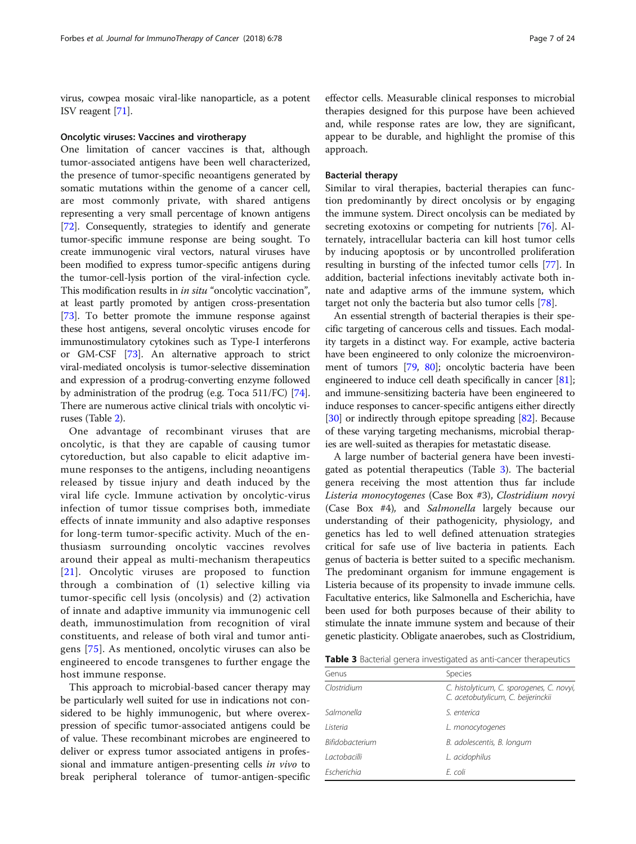virus, cowpea mosaic viral-like nanoparticle, as a potent ISV reagent [\[71\]](#page-20-0).

## Oncolytic viruses: Vaccines and virotherapy

One limitation of cancer vaccines is that, although tumor-associated antigens have been well characterized, the presence of tumor-specific neoantigens generated by somatic mutations within the genome of a cancer cell, are most commonly private, with shared antigens representing a very small percentage of known antigens [[72](#page-20-0)]. Consequently, strategies to identify and generate tumor-specific immune response are being sought. To create immunogenic viral vectors, natural viruses have been modified to express tumor-specific antigens during the tumor-cell-lysis portion of the viral-infection cycle. This modification results in in situ "oncolytic vaccination", at least partly promoted by antigen cross-presentation [[73](#page-20-0)]. To better promote the immune response against these host antigens, several oncolytic viruses encode for immunostimulatory cytokines such as Type-I interferons or GM-CSF [\[73\]](#page-20-0). An alternative approach to strict viral-mediated oncolysis is tumor-selective dissemination and expression of a prodrug-converting enzyme followed by administration of the prodrug (e.g. Toca 511/FC) [[74](#page-20-0)]. There are numerous active clinical trials with oncolytic viruses (Table [2](#page-5-0)).

One advantage of recombinant viruses that are oncolytic, is that they are capable of causing tumor cytoreduction, but also capable to elicit adaptive immune responses to the antigens, including neoantigens released by tissue injury and death induced by the viral life cycle. Immune activation by oncolytic-virus infection of tumor tissue comprises both, immediate effects of innate immunity and also adaptive responses for long-term tumor-specific activity. Much of the enthusiasm surrounding oncolytic vaccines revolves around their appeal as multi-mechanism therapeutics [[21](#page-19-0)]. Oncolytic viruses are proposed to function through a combination of (1) selective killing via tumor-specific cell lysis (oncolysis) and (2) activation of innate and adaptive immunity via immunogenic cell death, immunostimulation from recognition of viral constituents, and release of both viral and tumor antigens [\[75\]](#page-20-0). As mentioned, oncolytic viruses can also be engineered to encode transgenes to further engage the host immune response.

This approach to microbial-based cancer therapy may be particularly well suited for use in indications not considered to be highly immunogenic, but where overexpression of specific tumor-associated antigens could be of value. These recombinant microbes are engineered to deliver or express tumor associated antigens in professional and immature antigen-presenting cells in vivo to break peripheral tolerance of tumor-antigen-specific

effector cells. Measurable clinical responses to microbial therapies designed for this purpose have been achieved and, while response rates are low, they are significant, appear to be durable, and highlight the promise of this approach.

#### Bacterial therapy

Similar to viral therapies, bacterial therapies can function predominantly by direct oncolysis or by engaging the immune system. Direct oncolysis can be mediated by secreting exotoxins or competing for nutrients [[76](#page-20-0)]. Alternately, intracellular bacteria can kill host tumor cells by inducing apoptosis or by uncontrolled proliferation resulting in bursting of the infected tumor cells [\[77\]](#page-20-0). In addition, bacterial infections inevitably activate both innate and adaptive arms of the immune system, which target not only the bacteria but also tumor cells [[78](#page-20-0)].

An essential strength of bacterial therapies is their specific targeting of cancerous cells and tissues. Each modality targets in a distinct way. For example, active bacteria have been engineered to only colonize the microenvironment of tumors [[79,](#page-20-0) [80\]](#page-20-0); oncolytic bacteria have been engineered to induce cell death specifically in cancer [[81](#page-20-0)]; and immune-sensitizing bacteria have been engineered to induce responses to cancer-specific antigens either directly [[30](#page-19-0)] or indirectly through epitope spreading [[82](#page-20-0)]. Because of these varying targeting mechanisms, microbial therapies are well-suited as therapies for metastatic disease.

A large number of bacterial genera have been investigated as potential therapeutics (Table 3). The bacterial genera receiving the most attention thus far include Listeria monocytogenes (Case Box #3), Clostridium novyi (Case Box #4), and Salmonella largely because our understanding of their pathogenicity, physiology, and genetics has led to well defined attenuation strategies critical for safe use of live bacteria in patients. Each genus of bacteria is better suited to a specific mechanism. The predominant organism for immune engagement is Listeria because of its propensity to invade immune cells. Facultative enterics, like Salmonella and Escherichia, have been used for both purposes because of their ability to stimulate the innate immune system and because of their genetic plasticity. Obligate anaerobes, such as Clostridium,

|  | <b>Table 3</b> Bacterial genera investigated as anti-cancer therapeutics |  |  |
|--|--------------------------------------------------------------------------|--|--|
|  |                                                                          |  |  |

| <b>Species</b>                                                                  |
|---------------------------------------------------------------------------------|
| C. histolyticum, C. sporogenes, C. novyi,<br>C. acetobutylicum, C. beijerinckii |
| S enterica                                                                      |
| L. monocytogenes                                                                |
| B. adolescentis, B. longum                                                      |
| L. acidophilus                                                                  |
| F. coli                                                                         |
|                                                                                 |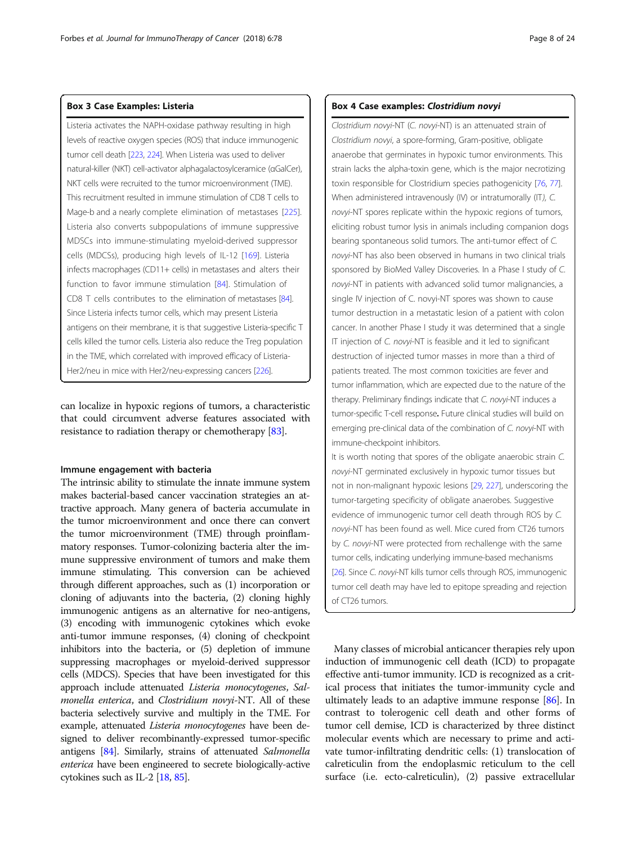## Box 3 Case Examples: Listeria

Listeria activates the NAPH-oxidase pathway resulting in high levels of reactive oxygen species (ROS) that induce immunogenic tumor cell death [\[223](#page-23-0), [224\]](#page-23-0). When Listeria was used to deliver natural-killer (NKT) cell-activator alphagalactosylceramice (αGalCer), NKT cells were recruited to the tumor microenvironment (TME). This recruitment resulted in immune stimulation of CD8 T cells to Mage-b and a nearly complete elimination of metastases [\[225\]](#page-23-0). Listeria also converts subpopulations of immune suppressive MDSCs into immune-stimulating myeloid-derived suppressor cells (MDCSs), producing high levels of IL-12 [[169](#page-22-0)]. Listeria infects macrophages (CD11+ cells) in metastases and alters their function to favor immune stimulation [\[84\]](#page-20-0). Stimulation of CD8 T cells contributes to the elimination of metastases [\[84](#page-20-0)]. Since Listeria infects tumor cells, which may present Listeria antigens on their membrane, it is that suggestive Listeria-specific T cells killed the tumor cells. Listeria also reduce the Treg population in the TME, which correlated with improved efficacy of Listeria-Her2/neu in mice with Her2/neu-expressing cancers [[226\]](#page-23-0).

can localize in hypoxic regions of tumors, a characteristic that could circumvent adverse features associated with resistance to radiation therapy or chemotherapy [\[83\]](#page-20-0).

#### Immune engagement with bacteria

The intrinsic ability to stimulate the innate immune system makes bacterial-based cancer vaccination strategies an attractive approach. Many genera of bacteria accumulate in the tumor microenvironment and once there can convert the tumor microenvironment (TME) through proinflammatory responses. Tumor-colonizing bacteria alter the immune suppressive environment of tumors and make them immune stimulating. This conversion can be achieved through different approaches, such as (1) incorporation or cloning of adjuvants into the bacteria, (2) cloning highly immunogenic antigens as an alternative for neo-antigens, (3) encoding with immunogenic cytokines which evoke anti-tumor immune responses, (4) cloning of checkpoint inhibitors into the bacteria, or (5) depletion of immune suppressing macrophages or myeloid-derived suppressor cells (MDCS). Species that have been investigated for this approach include attenuated Listeria monocytogenes, Salmonella enterica, and Clostridium novyi-NT. All of these bacteria selectively survive and multiply in the TME. For example, attenuated Listeria monocytogenes have been designed to deliver recombinantly-expressed tumor-specific antigens [\[84](#page-20-0)]. Similarly, strains of attenuated Salmonella enterica have been engineered to secrete biologically-active cytokines such as IL-2 [\[18,](#page-19-0) [85\]](#page-20-0).

#### Box 4 Case examples: Clostridium novyi

Clostridium novyi-NT (C. novyi-NT) is an attenuated strain of Clostridium novyi, a spore-forming, Gram-positive, obligate anaerobe that germinates in hypoxic tumor environments. This strain lacks the alpha-toxin gene, which is the major necrotizing toxin responsible for Clostridium species pathogenicity [[76](#page-20-0), [77](#page-20-0)]. When administered intravenously (IV) or intratumorally (IT), C. novyi-NT spores replicate within the hypoxic regions of tumors, eliciting robust tumor lysis in animals including companion dogs bearing spontaneous solid tumors. The anti-tumor effect of C. novyi-NT has also been observed in humans in two clinical trials sponsored by BioMed Valley Discoveries. In a Phase I study of C. novyi-NT in patients with advanced solid tumor malignancies, a single IV injection of C. novyi-NT spores was shown to cause tumor destruction in a metastatic lesion of a patient with colon cancer. In another Phase I study it was determined that a single IT injection of C. novyi-NT is feasible and it led to significant destruction of injected tumor masses in more than a third of patients treated. The most common toxicities are fever and tumor inflammation, which are expected due to the nature of the therapy. Preliminary findings indicate that C. novyi-NT induces a tumor-specific T-cell response. Future clinical studies will build on emerging pre-clinical data of the combination of C. novyi-NT with immune-checkpoint inhibitors.

It is worth noting that spores of the obligate anaerobic strain C. novyi-NT germinated exclusively in hypoxic tumor tissues but not in non-malignant hypoxic lesions [\[29](#page-19-0), [227](#page-23-0)], underscoring the tumor-targeting specificity of obligate anaerobes. Suggestive evidence of immunogenic tumor cell death through ROS by C. novyi-NT has been found as well. Mice cured from CT26 tumors by C. novyi-NT were protected from rechallenge with the same tumor cells, indicating underlying immune-based mechanisms [[26\]](#page-19-0). Since C. novyi-NT kills tumor cells through ROS, immunogenic tumor cell death may have led to epitope spreading and rejection of CT26 tumors.

Many classes of microbial anticancer therapies rely upon induction of immunogenic cell death (ICD) to propagate effective anti-tumor immunity. ICD is recognized as a critical process that initiates the tumor-immunity cycle and ultimately leads to an adaptive immune response [[86](#page-20-0)]. In contrast to tolerogenic cell death and other forms of tumor cell demise, ICD is characterized by three distinct molecular events which are necessary to prime and activate tumor-infiltrating dendritic cells: (1) translocation of calreticulin from the endoplasmic reticulum to the cell surface (i.e. ecto-calreticulin), (2) passive extracellular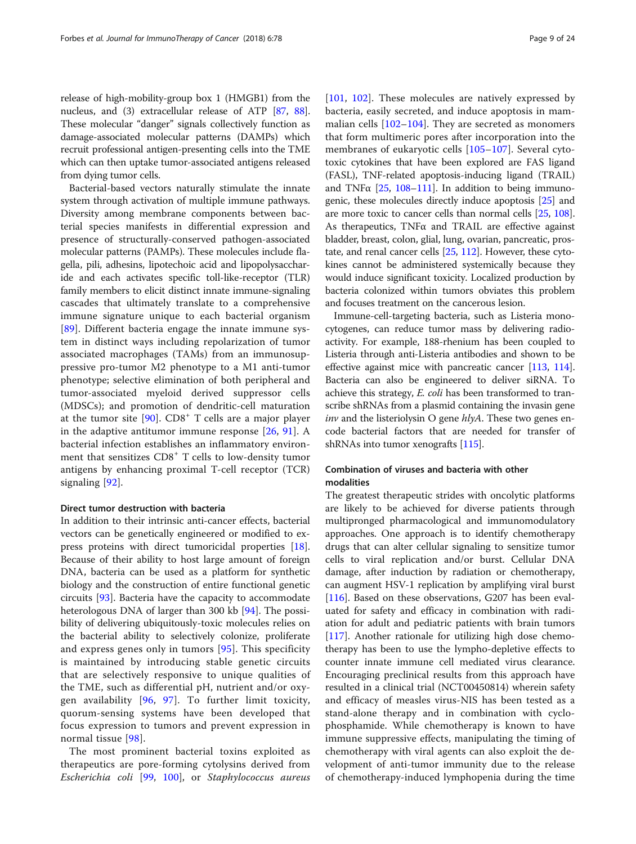release of high-mobility-group box 1 (HMGB1) from the nucleus, and (3) extracellular release of ATP [[87](#page-20-0), [88](#page-20-0)]. These molecular "danger" signals collectively function as damage-associated molecular patterns (DAMPs) which recruit professional antigen-presenting cells into the TME which can then uptake tumor-associated antigens released from dying tumor cells.

Bacterial-based vectors naturally stimulate the innate system through activation of multiple immune pathways. Diversity among membrane components between bacterial species manifests in differential expression and presence of structurally-conserved pathogen-associated molecular patterns (PAMPs). These molecules include flagella, pili, adhesins, lipotechoic acid and lipopolysaccharide and each activates specific toll-like-receptor (TLR) family members to elicit distinct innate immune-signaling cascades that ultimately translate to a comprehensive immune signature unique to each bacterial organism [[89\]](#page-20-0). Different bacteria engage the innate immune system in distinct ways including repolarization of tumor associated macrophages (TAMs) from an immunosuppressive pro-tumor M2 phenotype to a M1 anti-tumor phenotype; selective elimination of both peripheral and tumor-associated myeloid derived suppressor cells (MDSCs); and promotion of dendritic-cell maturation at the tumor site  $[90]$  $[90]$ . CD8<sup>+</sup> T cells are a major player in the adaptive antitumor immune response [[26](#page-19-0), [91\]](#page-20-0). A bacterial infection establishes an inflammatory environment that sensitizes CD8<sup>+</sup> T cells to low-density tumor antigens by enhancing proximal T-cell receptor (TCR) signaling [[92\]](#page-20-0).

## Direct tumor destruction with bacteria

In addition to their intrinsic anti-cancer effects, bacterial vectors can be genetically engineered or modified to express proteins with direct tumoricidal properties [\[18](#page-19-0)]. Because of their ability to host large amount of foreign DNA, bacteria can be used as a platform for synthetic biology and the construction of entire functional genetic circuits [\[93\]](#page-20-0). Bacteria have the capacity to accommodate heterologous DNA of larger than 300 kb [\[94](#page-20-0)]. The possibility of delivering ubiquitously-toxic molecules relies on the bacterial ability to selectively colonize, proliferate and express genes only in tumors [[95](#page-20-0)]. This specificity is maintained by introducing stable genetic circuits that are selectively responsive to unique qualities of the TME, such as differential pH, nutrient and/or oxygen availability [[96,](#page-20-0) [97\]](#page-20-0). To further limit toxicity, quorum-sensing systems have been developed that focus expression to tumors and prevent expression in normal tissue [[98\]](#page-20-0).

The most prominent bacterial toxins exploited as therapeutics are pore-forming cytolysins derived from Escherichia coli [[99](#page-20-0), [100\]](#page-20-0), or Staphylococcus aureus

[[101](#page-20-0), [102\]](#page-20-0). These molecules are natively expressed by bacteria, easily secreted, and induce apoptosis in mammalian cells [\[102](#page-20-0)–[104\]](#page-20-0). They are secreted as monomers that form multimeric pores after incorporation into the membranes of eukaryotic cells [\[105](#page-20-0)–[107\]](#page-20-0). Several cytotoxic cytokines that have been explored are FAS ligand (FASL), TNF-related apoptosis-inducing ligand (TRAIL) and TNF $\alpha$  [[25](#page-19-0), [108](#page-21-0)–[111\]](#page-21-0). In addition to being immunogenic, these molecules directly induce apoptosis [\[25](#page-19-0)] and are more toxic to cancer cells than normal cells [\[25,](#page-19-0) [108](#page-21-0)]. As therapeutics, TNFα and TRAIL are effective against bladder, breast, colon, glial, lung, ovarian, pancreatic, prostate, and renal cancer cells [\[25,](#page-19-0) [112](#page-21-0)]. However, these cytokines cannot be administered systemically because they would induce significant toxicity. Localized production by bacteria colonized within tumors obviates this problem and focuses treatment on the cancerous lesion.

Immune-cell-targeting bacteria, such as Listeria monocytogenes, can reduce tumor mass by delivering radioactivity. For example, 188-rhenium has been coupled to Listeria through anti-Listeria antibodies and shown to be effective against mice with pancreatic cancer [\[113,](#page-21-0) [114](#page-21-0)]. Bacteria can also be engineered to deliver siRNA. To achieve this strategy, E. coli has been transformed to transcribe shRNAs from a plasmid containing the invasin gene inv and the listeriolysin O gene  $hlyA$ . These two genes encode bacterial factors that are needed for transfer of shRNAs into tumor xenografts [[115](#page-21-0)].

## Combination of viruses and bacteria with other modalities

The greatest therapeutic strides with oncolytic platforms are likely to be achieved for diverse patients through multipronged pharmacological and immunomodulatory approaches. One approach is to identify chemotherapy drugs that can alter cellular signaling to sensitize tumor cells to viral replication and/or burst. Cellular DNA damage, after induction by radiation or chemotherapy, can augment HSV-1 replication by amplifying viral burst [[116\]](#page-21-0). Based on these observations, G207 has been evaluated for safety and efficacy in combination with radiation for adult and pediatric patients with brain tumors [[117\]](#page-21-0). Another rationale for utilizing high dose chemotherapy has been to use the lympho-depletive effects to counter innate immune cell mediated virus clearance. Encouraging preclinical results from this approach have resulted in a clinical trial (NCT00450814) wherein safety and efficacy of measles virus-NIS has been tested as a stand-alone therapy and in combination with cyclophosphamide. While chemotherapy is known to have immune suppressive effects, manipulating the timing of chemotherapy with viral agents can also exploit the development of anti-tumor immunity due to the release of chemotherapy-induced lymphopenia during the time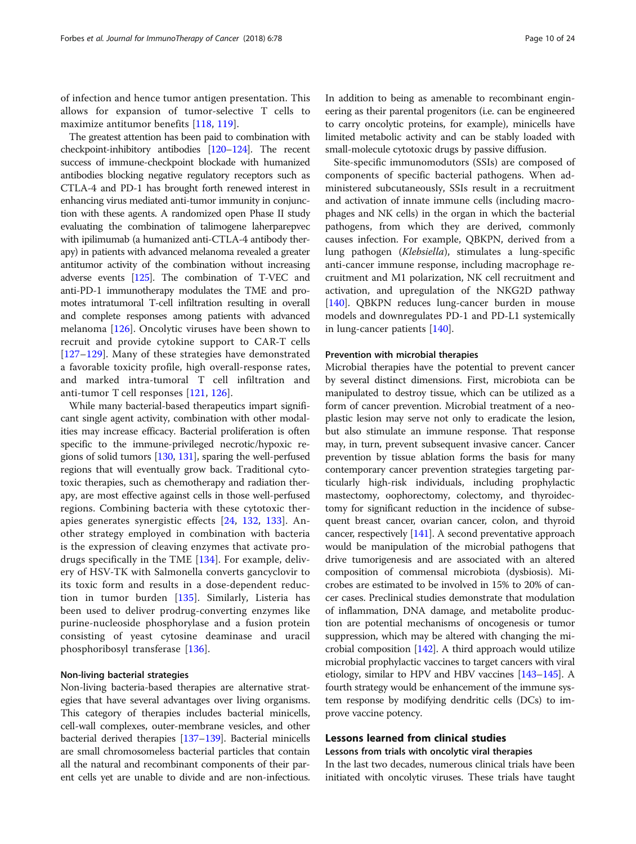of infection and hence tumor antigen presentation. This allows for expansion of tumor-selective T cells to maximize antitumor benefits [\[118](#page-21-0), [119](#page-21-0)].

The greatest attention has been paid to combination with checkpoint-inhibitory antibodies [[120](#page-21-0)–[124\]](#page-21-0). The recent success of immune-checkpoint blockade with humanized antibodies blocking negative regulatory receptors such as CTLA-4 and PD-1 has brought forth renewed interest in enhancing virus mediated anti-tumor immunity in conjunction with these agents. A randomized open Phase II study evaluating the combination of talimogene laherparepvec with ipilimumab (a humanized anti-CTLA-4 antibody therapy) in patients with advanced melanoma revealed a greater antitumor activity of the combination without increasing adverse events [\[125\]](#page-21-0). The combination of T-VEC and anti-PD-1 immunotherapy modulates the TME and promotes intratumoral T-cell infiltration resulting in overall and complete responses among patients with advanced melanoma [[126\]](#page-21-0). Oncolytic viruses have been shown to recruit and provide cytokine support to CAR-T cells [[127](#page-21-0)–[129\]](#page-21-0). Many of these strategies have demonstrated a favorable toxicity profile, high overall-response rates, and marked intra-tumoral T cell infiltration and anti-tumor T cell responses [[121,](#page-21-0) [126\]](#page-21-0).

While many bacterial-based therapeutics impart significant single agent activity, combination with other modalities may increase efficacy. Bacterial proliferation is often specific to the immune-privileged necrotic/hypoxic regions of solid tumors [[130](#page-21-0), [131](#page-21-0)], sparing the well-perfused regions that will eventually grow back. Traditional cytotoxic therapies, such as chemotherapy and radiation therapy, are most effective against cells in those well-perfused regions. Combining bacteria with these cytotoxic therapies generates synergistic effects [[24,](#page-19-0) [132](#page-21-0), [133](#page-21-0)]. Another strategy employed in combination with bacteria is the expression of cleaving enzymes that activate prodrugs specifically in the TME [\[134](#page-21-0)]. For example, delivery of HSV-TK with Salmonella converts gancyclovir to its toxic form and results in a dose-dependent reduction in tumor burden [[135\]](#page-21-0). Similarly, Listeria has been used to deliver prodrug-converting enzymes like purine-nucleoside phosphorylase and a fusion protein consisting of yeast cytosine deaminase and uracil phosphoribosyl transferase [\[136](#page-21-0)].

## Non-living bacterial strategies

Non-living bacteria-based therapies are alternative strategies that have several advantages over living organisms. This category of therapies includes bacterial minicells, cell-wall complexes, outer-membrane vesicles, and other bacterial derived therapies [[137](#page-21-0)–[139\]](#page-21-0). Bacterial minicells are small chromosomeless bacterial particles that contain all the natural and recombinant components of their parent cells yet are unable to divide and are non-infectious.

In addition to being as amenable to recombinant engineering as their parental progenitors (i.e. can be engineered to carry oncolytic proteins, for example), minicells have limited metabolic activity and can be stably loaded with small-molecule cytotoxic drugs by passive diffusion.

Site-specific immunomodutors (SSIs) are composed of components of specific bacterial pathogens. When administered subcutaneously, SSIs result in a recruitment and activation of innate immune cells (including macrophages and NK cells) in the organ in which the bacterial pathogens, from which they are derived, commonly causes infection. For example, QBKPN, derived from a lung pathogen (Klebsiella), stimulates a lung-specific anti-cancer immune response, including macrophage recruitment and M1 polarization, NK cell recruitment and activation, and upregulation of the NKG2D pathway [[140\]](#page-21-0). QBKPN reduces lung-cancer burden in mouse models and downregulates PD-1 and PD-L1 systemically in lung-cancer patients [\[140\]](#page-21-0).

## Prevention with microbial therapies

Microbial therapies have the potential to prevent cancer by several distinct dimensions. First, microbiota can be manipulated to destroy tissue, which can be utilized as a form of cancer prevention. Microbial treatment of a neoplastic lesion may serve not only to eradicate the lesion, but also stimulate an immune response. That response may, in turn, prevent subsequent invasive cancer. Cancer prevention by tissue ablation forms the basis for many contemporary cancer prevention strategies targeting particularly high-risk individuals, including prophylactic mastectomy, oophorectomy, colectomy, and thyroidectomy for significant reduction in the incidence of subsequent breast cancer, ovarian cancer, colon, and thyroid cancer, respectively [\[141\]](#page-21-0). A second preventative approach would be manipulation of the microbial pathogens that drive tumorigenesis and are associated with an altered composition of commensal microbiota (dysbiosis). Microbes are estimated to be involved in 15% to 20% of cancer cases. Preclinical studies demonstrate that modulation of inflammation, DNA damage, and metabolite production are potential mechanisms of oncogenesis or tumor suppression, which may be altered with changing the microbial composition [[142](#page-21-0)]. A third approach would utilize microbial prophylactic vaccines to target cancers with viral etiology, similar to HPV and HBV vaccines [\[143](#page-21-0)–[145\]](#page-21-0). A fourth strategy would be enhancement of the immune system response by modifying dendritic cells (DCs) to improve vaccine potency.

## Lessons learned from clinical studies

Lessons from trials with oncolytic viral therapies

In the last two decades, numerous clinical trials have been initiated with oncolytic viruses. These trials have taught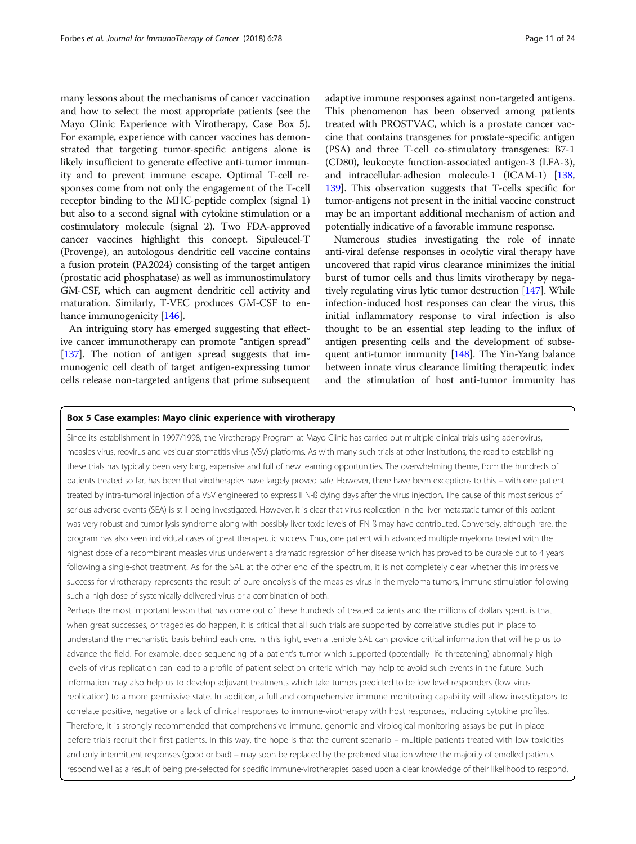many lessons about the mechanisms of cancer vaccination and how to select the most appropriate patients (see the Mayo Clinic Experience with Virotherapy, Case Box 5). For example, experience with cancer vaccines has demonstrated that targeting tumor-specific antigens alone is likely insufficient to generate effective anti-tumor immunity and to prevent immune escape. Optimal T-cell responses come from not only the engagement of the T-cell receptor binding to the MHC-peptide complex (signal 1) but also to a second signal with cytokine stimulation or a costimulatory molecule (signal 2). Two FDA-approved cancer vaccines highlight this concept. Sipuleucel-T (Provenge), an autologous dendritic cell vaccine contains a fusion protein (PA2024) consisting of the target antigen (prostatic acid phosphatase) as well as immunostimulatory GM-CSF, which can augment dendritic cell activity and maturation. Similarly, T-VEC produces GM-CSF to en-hance immunogenicity [[146](#page-21-0)].

An intriguing story has emerged suggesting that effective cancer immunotherapy can promote "antigen spread" [[137](#page-21-0)]. The notion of antigen spread suggests that immunogenic cell death of target antigen-expressing tumor cells release non-targeted antigens that prime subsequent adaptive immune responses against non-targeted antigens. This phenomenon has been observed among patients treated with PROSTVAC, which is a prostate cancer vaccine that contains transgenes for prostate-specific antigen (PSA) and three T-cell co-stimulatory transgenes: B7-1 (CD80), leukocyte function-associated antigen-3 (LFA-3), and intracellular-adhesion molecule-1 (ICAM-1) [\[138](#page-21-0), [139](#page-21-0)]. This observation suggests that T-cells specific for tumor-antigens not present in the initial vaccine construct may be an important additional mechanism of action and potentially indicative of a favorable immune response.

Numerous studies investigating the role of innate anti-viral defense responses in ocolytic viral therapy have uncovered that rapid virus clearance minimizes the initial burst of tumor cells and thus limits virotherapy by negatively regulating virus lytic tumor destruction [[147](#page-21-0)]. While infection-induced host responses can clear the virus, this initial inflammatory response to viral infection is also thought to be an essential step leading to the influx of antigen presenting cells and the development of subsequent anti-tumor immunity [\[148\]](#page-21-0). The Yin-Yang balance between innate virus clearance limiting therapeutic index and the stimulation of host anti-tumor immunity has

#### Box 5 Case examples: Mayo clinic experience with virotherapy

Since its establishment in 1997/1998, the Virotherapy Program at Mayo Clinic has carried out multiple clinical trials using adenovirus, measles virus, reovirus and vesicular stomatitis virus (VSV) platforms. As with many such trials at other Institutions, the road to establishing these trials has typically been very long, expensive and full of new learning opportunities. The overwhelming theme, from the hundreds of patients treated so far, has been that virotherapies have largely proved safe. However, there have been exceptions to this – with one patient treated by intra-tumoral injection of a VSV engineered to express IFN-ß dying days after the virus injection. The cause of this most serious of serious adverse events (SEA) is still being investigated. However, it is clear that virus replication in the liver-metastatic tumor of this patient was very robust and tumor lysis syndrome along with possibly liver-toxic levels of IFN-ß may have contributed. Conversely, although rare, the program has also seen individual cases of great therapeutic success. Thus, one patient with advanced multiple myeloma treated with the highest dose of a recombinant measles virus underwent a dramatic regression of her disease which has proved to be durable out to 4 years following a single-shot treatment. As for the SAE at the other end of the spectrum, it is not completely clear whether this impressive success for virotherapy represents the result of pure oncolysis of the measles virus in the myeloma tumors, immune stimulation following such a high dose of systemically delivered virus or a combination of both.

Perhaps the most important lesson that has come out of these hundreds of treated patients and the millions of dollars spent, is that when great successes, or tragedies do happen, it is critical that all such trials are supported by correlative studies put in place to understand the mechanistic basis behind each one. In this light, even a terrible SAE can provide critical information that will help us to advance the field. For example, deep sequencing of a patient's tumor which supported (potentially life threatening) abnormally high levels of virus replication can lead to a profile of patient selection criteria which may help to avoid such events in the future. Such information may also help us to develop adjuvant treatments which take tumors predicted to be low-level responders (low virus replication) to a more permissive state. In addition, a full and comprehensive immune-monitoring capability will allow investigators to correlate positive, negative or a lack of clinical responses to immune-virotherapy with host responses, including cytokine profiles. Therefore, it is strongly recommended that comprehensive immune, genomic and virological monitoring assays be put in place before trials recruit their first patients. In this way, the hope is that the current scenario – multiple patients treated with low toxicities and only intermittent responses (good or bad) – may soon be replaced by the preferred situation where the majority of enrolled patients respond well as a result of being pre-selected for specific immune-virotherapies based upon a clear knowledge of their likelihood to respond.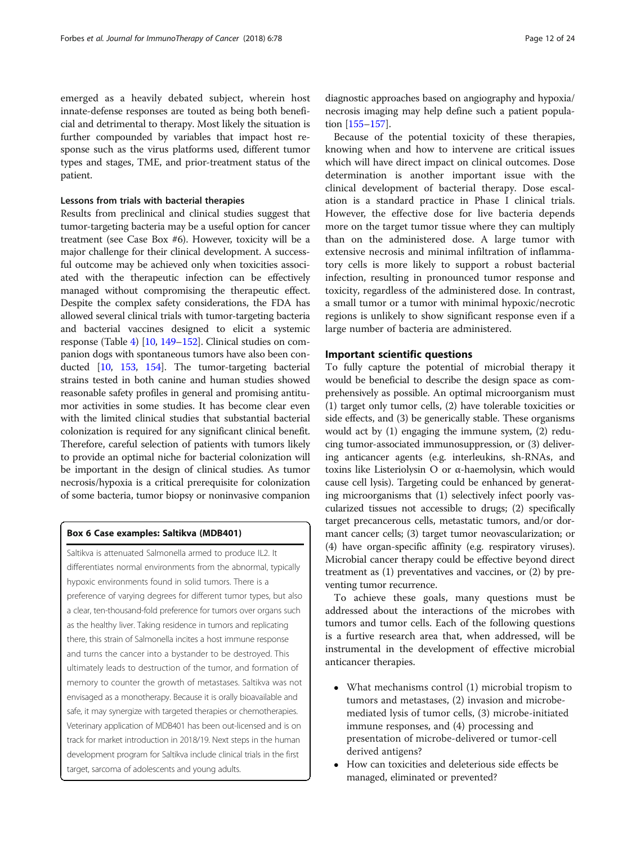emerged as a heavily debated subject, wherein host innate-defense responses are touted as being both beneficial and detrimental to therapy. Most likely the situation is further compounded by variables that impact host response such as the virus platforms used, different tumor types and stages, TME, and prior-treatment status of the patient.

#### Lessons from trials with bacterial therapies

Results from preclinical and clinical studies suggest that tumor-targeting bacteria may be a useful option for cancer treatment (see Case Box #6). However, toxicity will be a major challenge for their clinical development. A successful outcome may be achieved only when toxicities associated with the therapeutic infection can be effectively managed without compromising the therapeutic effect. Despite the complex safety considerations, the FDA has allowed several clinical trials with tumor-targeting bacteria and bacterial vaccines designed to elicit a systemic response (Table [4\)](#page-12-0) [[10](#page-18-0), [149](#page-21-0)–[152](#page-22-0)]. Clinical studies on companion dogs with spontaneous tumors have also been conducted [\[10,](#page-18-0) [153](#page-22-0), [154\]](#page-22-0). The tumor-targeting bacterial strains tested in both canine and human studies showed reasonable safety profiles in general and promising antitumor activities in some studies. It has become clear even with the limited clinical studies that substantial bacterial colonization is required for any significant clinical benefit. Therefore, careful selection of patients with tumors likely to provide an optimal niche for bacterial colonization will be important in the design of clinical studies. As tumor necrosis/hypoxia is a critical prerequisite for colonization of some bacteria, tumor biopsy or noninvasive companion

#### Box 6 Case examples: Saltikva (MDB401)

Saltikva is attenuated Salmonella armed to produce IL2. It differentiates normal environments from the abnormal, typically hypoxic environments found in solid tumors. There is a preference of varying degrees for different tumor types, but also a clear, ten-thousand-fold preference for tumors over organs such as the healthy liver. Taking residence in tumors and replicating there, this strain of Salmonella incites a host immune response and turns the cancer into a bystander to be destroyed. This ultimately leads to destruction of the tumor, and formation of memory to counter the growth of metastases. Saltikva was not envisaged as a monotherapy. Because it is orally bioavailable and safe, it may synergize with targeted therapies or chemotherapies. Veterinary application of MDB401 has been out-licensed and is on track for market introduction in 2018/19. Next steps in the human development program for Saltikva include clinical trials in the first target, sarcoma of adolescents and young adults.

Because of the potential toxicity of these therapies, knowing when and how to intervene are critical issues which will have direct impact on clinical outcomes. Dose determination is another important issue with the clinical development of bacterial therapy. Dose escalation is a standard practice in Phase I clinical trials. However, the effective dose for live bacteria depends more on the target tumor tissue where they can multiply than on the administered dose. A large tumor with extensive necrosis and minimal infiltration of inflammatory cells is more likely to support a robust bacterial infection, resulting in pronounced tumor response and toxicity, regardless of the administered dose. In contrast, a small tumor or a tumor with minimal hypoxic/necrotic regions is unlikely to show significant response even if a large number of bacteria are administered.

## Important scientific questions

tion [\[155](#page-22-0)–[157](#page-22-0)].

To fully capture the potential of microbial therapy it would be beneficial to describe the design space as comprehensively as possible. An optimal microorganism must (1) target only tumor cells, (2) have tolerable toxicities or side effects, and (3) be generically stable. These organisms would act by (1) engaging the immune system, (2) reducing tumor-associated immunosuppression, or (3) delivering anticancer agents (e.g. interleukins, sh-RNAs, and toxins like Listeriolysin O or α-haemolysin, which would cause cell lysis). Targeting could be enhanced by generating microorganisms that (1) selectively infect poorly vascularized tissues not accessible to drugs; (2) specifically target precancerous cells, metastatic tumors, and/or dormant cancer cells; (3) target tumor neovascularization; or (4) have organ-specific affinity (e.g. respiratory viruses). Microbial cancer therapy could be effective beyond direct treatment as (1) preventatives and vaccines, or (2) by preventing tumor recurrence.

To achieve these goals, many questions must be addressed about the interactions of the microbes with tumors and tumor cells. Each of the following questions is a furtive research area that, when addressed, will be instrumental in the development of effective microbial anticancer therapies.

- What mechanisms control (1) microbial tropism to tumors and metastases, (2) invasion and microbemediated lysis of tumor cells, (3) microbe-initiated immune responses, and (4) processing and presentation of microbe-delivered or tumor-cell derived antigens?
- How can toxicities and deleterious side effects be managed, eliminated or prevented?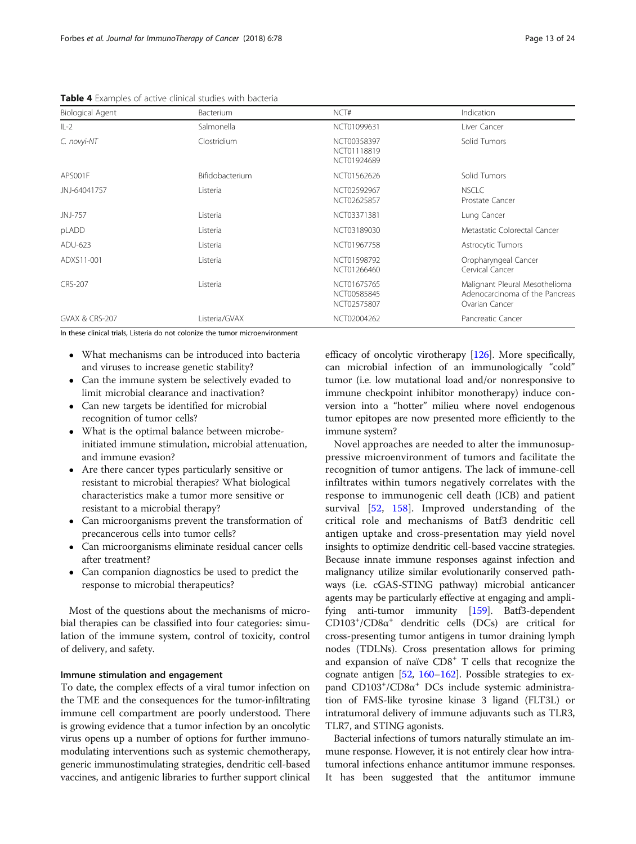<span id="page-12-0"></span>Table 4 Examples of active clinical studies with bacteria

| Biological Agent          | Bacterium       | NCT#                                      | Indication                                                                         |
|---------------------------|-----------------|-------------------------------------------|------------------------------------------------------------------------------------|
| $IL-2$                    | Salmonella      | NCT01099631                               | Liver Cancer                                                                       |
| C. novyi-NT               | Clostridium     | NCT00358397<br>NCT01118819<br>NCT01924689 | Solid Tumors                                                                       |
| APS001F                   | Bifidobacterium | NCT01562626                               | Solid Tumors                                                                       |
| JNJ-64041757              | Listeria        | NCT02592967<br>NCT02625857                | <b>NSCLC</b><br>Prostate Cancer                                                    |
| JNJ-757                   | Listeria        | NCT03371381                               | Lung Cancer                                                                        |
| pLADD                     | Listeria        | NCT03189030                               | Metastatic Colorectal Cancer                                                       |
| ADU-623                   | Listeria        | NCT01967758                               | Astrocytic Tumors                                                                  |
| ADXS11-001                | Listeria        | NCT01598792<br>NCT01266460                | Oropharyngeal Cancer<br>Cervical Cancer                                            |
| <b>CRS-207</b>            | Listeria        | NCT01675765<br>NCT00585845<br>NCT02575807 | Malignant Pleural Mesothelioma<br>Adenocarcinoma of the Pancreas<br>Ovarian Cancer |
| <b>GVAX &amp; CRS-207</b> | Listeria/GVAX   | NCT02004262                               | Pancreatic Cancer                                                                  |

In these clinical trials, Listeria do not colonize the tumor microenvironment

- What mechanisms can be introduced into bacteria and viruses to increase genetic stability?
- Can the immune system be selectively evaded to limit microbial clearance and inactivation?
- Can new targets be identified for microbial recognition of tumor cells?
- What is the optimal balance between microbeinitiated immune stimulation, microbial attenuation, and immune evasion?
- Are there cancer types particularly sensitive or resistant to microbial therapies? What biological characteristics make a tumor more sensitive or resistant to a microbial therapy?
- Can microorganisms prevent the transformation of precancerous cells into tumor cells?
- Can microorganisms eliminate residual cancer cells after treatment?
- Can companion diagnostics be used to predict the response to microbial therapeutics?

Most of the questions about the mechanisms of microbial therapies can be classified into four categories: simulation of the immune system, control of toxicity, control of delivery, and safety.

## Immune stimulation and engagement

To date, the complex effects of a viral tumor infection on the TME and the consequences for the tumor-infiltrating immune cell compartment are poorly understood. There is growing evidence that a tumor infection by an oncolytic virus opens up a number of options for further immunomodulating interventions such as systemic chemotherapy, generic immunostimulating strategies, dendritic cell-based vaccines, and antigenic libraries to further support clinical efficacy of oncolytic virotherapy [[126](#page-21-0)]. More specifically, can microbial infection of an immunologically "cold" tumor (i.e. low mutational load and/or nonresponsive to immune checkpoint inhibitor monotherapy) induce conversion into a "hotter" milieu where novel endogenous tumor epitopes are now presented more efficiently to the immune system?

Novel approaches are needed to alter the immunosuppressive microenvironment of tumors and facilitate the recognition of tumor antigens. The lack of immune-cell infiltrates within tumors negatively correlates with the response to immunogenic cell death (ICB) and patient survival [[52,](#page-19-0) [158](#page-22-0)]. Improved understanding of the critical role and mechanisms of Batf3 dendritic cell antigen uptake and cross-presentation may yield novel insights to optimize dendritic cell-based vaccine strategies. Because innate immune responses against infection and malignancy utilize similar evolutionarily conserved pathways (i.e. cGAS-STING pathway) microbial anticancer agents may be particularly effective at engaging and amplifying anti-tumor immunity [\[159](#page-22-0)]. Batf3-dependent CD103+ /CD8α<sup>+</sup> dendritic cells (DCs) are critical for cross-presenting tumor antigens in tumor draining lymph nodes (TDLNs). Cross presentation allows for priming and expansion of naïve  $CDS<sup>+</sup> T$  cells that recognize the cognate antigen [\[52](#page-19-0), [160](#page-22-0)–[162](#page-22-0)]. Possible strategies to expand CD103<sup>+</sup>/CD8α<sup>+</sup> DCs include systemic administration of FMS-like tyrosine kinase 3 ligand (FLT3L) or intratumoral delivery of immune adjuvants such as TLR3, TLR7, and STING agonists.

Bacterial infections of tumors naturally stimulate an immune response. However, it is not entirely clear how intratumoral infections enhance antitumor immune responses. It has been suggested that the antitumor immune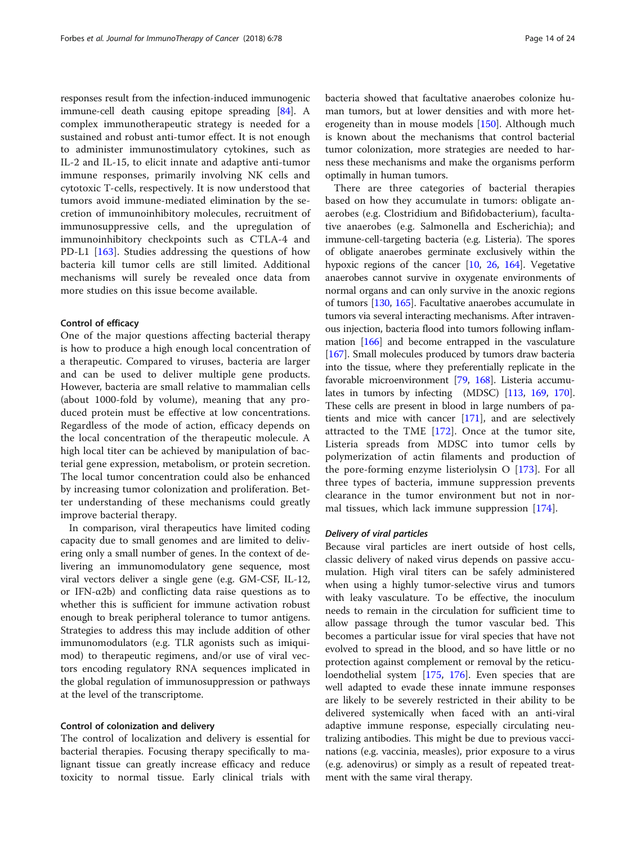responses result from the infection-induced immunogenic immune-cell death causing epitope spreading [\[84](#page-20-0)]. A complex immunotherapeutic strategy is needed for a sustained and robust anti-tumor effect. It is not enough to administer immunostimulatory cytokines, such as IL-2 and IL-15, to elicit innate and adaptive anti-tumor immune responses, primarily involving NK cells and cytotoxic T-cells, respectively. It is now understood that tumors avoid immune-mediated elimination by the secretion of immunoinhibitory molecules, recruitment of immunosuppressive cells, and the upregulation of immunoinhibitory checkpoints such as CTLA-4 and PD-L1 [\[163](#page-22-0)]. Studies addressing the questions of how bacteria kill tumor cells are still limited. Additional mechanisms will surely be revealed once data from more studies on this issue become available.

#### Control of efficacy

One of the major questions affecting bacterial therapy is how to produce a high enough local concentration of a therapeutic. Compared to viruses, bacteria are larger and can be used to deliver multiple gene products. However, bacteria are small relative to mammalian cells (about 1000-fold by volume), meaning that any produced protein must be effective at low concentrations. Regardless of the mode of action, efficacy depends on the local concentration of the therapeutic molecule. A high local titer can be achieved by manipulation of bacterial gene expression, metabolism, or protein secretion. The local tumor concentration could also be enhanced by increasing tumor colonization and proliferation. Better understanding of these mechanisms could greatly improve bacterial therapy.

In comparison, viral therapeutics have limited coding capacity due to small genomes and are limited to delivering only a small number of genes. In the context of delivering an immunomodulatory gene sequence, most viral vectors deliver a single gene (e.g. GM-CSF, IL-12, or IFN- $\alpha$ 2b) and conflicting data raise questions as to whether this is sufficient for immune activation robust enough to break peripheral tolerance to tumor antigens. Strategies to address this may include addition of other immunomodulators (e.g. TLR agonists such as imiquimod) to therapeutic regimens, and/or use of viral vectors encoding regulatory RNA sequences implicated in the global regulation of immunosuppression or pathways at the level of the transcriptome.

## Control of colonization and delivery

The control of localization and delivery is essential for bacterial therapies. Focusing therapy specifically to malignant tissue can greatly increase efficacy and reduce toxicity to normal tissue. Early clinical trials with bacteria showed that facultative anaerobes colonize human tumors, but at lower densities and with more heterogeneity than in mouse models [[150\]](#page-22-0). Although much is known about the mechanisms that control bacterial tumor colonization, more strategies are needed to harness these mechanisms and make the organisms perform optimally in human tumors.

There are three categories of bacterial therapies based on how they accumulate in tumors: obligate anaerobes (e.g. Clostridium and Bifidobacterium), facultative anaerobes (e.g. Salmonella and Escherichia); and immune-cell-targeting bacteria (e.g. Listeria). The spores of obligate anaerobes germinate exclusively within the hypoxic regions of the cancer [\[10,](#page-18-0) [26](#page-19-0), [164\]](#page-22-0). Vegetative anaerobes cannot survive in oxygenate environments of normal organs and can only survive in the anoxic regions of tumors [[130](#page-21-0), [165\]](#page-22-0). Facultative anaerobes accumulate in tumors via several interacting mechanisms. After intravenous injection, bacteria flood into tumors following inflammation [[166](#page-22-0)] and become entrapped in the vasculature [[167](#page-22-0)]. Small molecules produced by tumors draw bacteria into the tissue, where they preferentially replicate in the favorable microenvironment [\[79,](#page-20-0) [168](#page-22-0)]. Listeria accumulates in tumors by infecting (MDSC) [[113](#page-21-0), [169,](#page-22-0) [170](#page-22-0)]. These cells are present in blood in large numbers of patients and mice with cancer [\[171\]](#page-22-0), and are selectively attracted to the TME [\[172](#page-22-0)]. Once at the tumor site, Listeria spreads from MDSC into tumor cells by polymerization of actin filaments and production of the pore-forming enzyme listeriolysin O [[173\]](#page-22-0). For all three types of bacteria, immune suppression prevents clearance in the tumor environment but not in normal tissues, which lack immune suppression [\[174](#page-22-0)].

#### Delivery of viral particles

Because viral particles are inert outside of host cells, classic delivery of naked virus depends on passive accumulation. High viral titers can be safely administered when using a highly tumor-selective virus and tumors with leaky vasculature. To be effective, the inoculum needs to remain in the circulation for sufficient time to allow passage through the tumor vascular bed. This becomes a particular issue for viral species that have not evolved to spread in the blood, and so have little or no protection against complement or removal by the reticuloendothelial system [[175,](#page-22-0) [176\]](#page-22-0). Even species that are well adapted to evade these innate immune responses are likely to be severely restricted in their ability to be delivered systemically when faced with an anti-viral adaptive immune response, especially circulating neutralizing antibodies. This might be due to previous vaccinations (e.g. vaccinia, measles), prior exposure to a virus (e.g. adenovirus) or simply as a result of repeated treatment with the same viral therapy.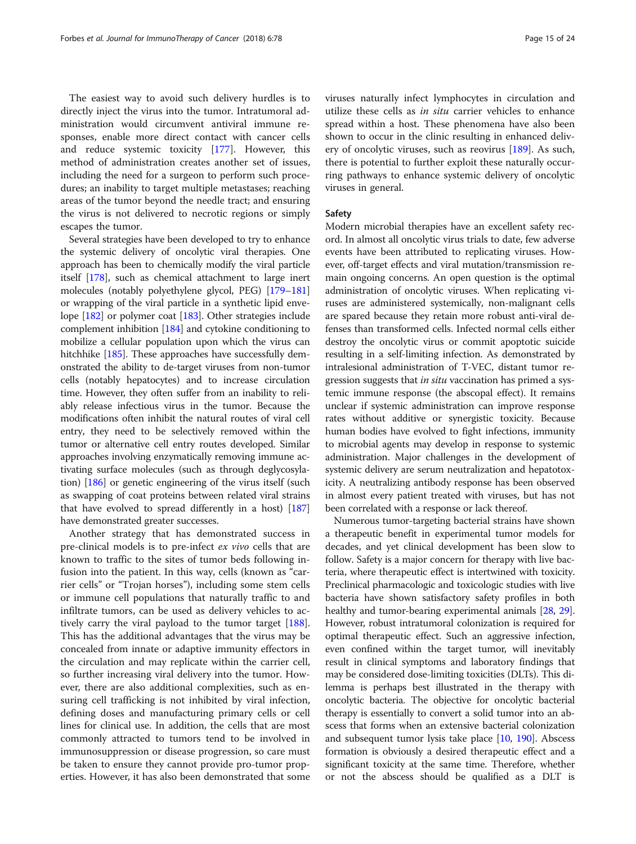The easiest way to avoid such delivery hurdles is to directly inject the virus into the tumor. Intratumoral administration would circumvent antiviral immune responses, enable more direct contact with cancer cells and reduce systemic toxicity [[177\]](#page-22-0). However, this method of administration creates another set of issues, including the need for a surgeon to perform such procedures; an inability to target multiple metastases; reaching areas of the tumor beyond the needle tract; and ensuring the virus is not delivered to necrotic regions or simply escapes the tumor.

Several strategies have been developed to try to enhance the systemic delivery of oncolytic viral therapies. One approach has been to chemically modify the viral particle itself [[178\]](#page-22-0), such as chemical attachment to large inert molecules (notably polyethylene glycol, PEG) [[179](#page-22-0)–[181](#page-22-0)] or wrapping of the viral particle in a synthetic lipid envelope [[182](#page-22-0)] or polymer coat [\[183\]](#page-22-0). Other strategies include complement inhibition [\[184\]](#page-22-0) and cytokine conditioning to mobilize a cellular population upon which the virus can hitchhike [\[185\]](#page-22-0). These approaches have successfully demonstrated the ability to de-target viruses from non-tumor cells (notably hepatocytes) and to increase circulation time. However, they often suffer from an inability to reliably release infectious virus in the tumor. Because the modifications often inhibit the natural routes of viral cell entry, they need to be selectively removed within the tumor or alternative cell entry routes developed. Similar approaches involving enzymatically removing immune activating surface molecules (such as through deglycosylation) [\[186\]](#page-22-0) or genetic engineering of the virus itself (such as swapping of coat proteins between related viral strains that have evolved to spread differently in a host) [[187](#page-22-0)] have demonstrated greater successes.

Another strategy that has demonstrated success in pre-clinical models is to pre-infect ex vivo cells that are known to traffic to the sites of tumor beds following infusion into the patient. In this way, cells (known as "carrier cells" or "Trojan horses"), including some stem cells or immune cell populations that naturally traffic to and infiltrate tumors, can be used as delivery vehicles to actively carry the viral payload to the tumor target [\[188](#page-22-0)]. This has the additional advantages that the virus may be concealed from innate or adaptive immunity effectors in the circulation and may replicate within the carrier cell, so further increasing viral delivery into the tumor. However, there are also additional complexities, such as ensuring cell trafficking is not inhibited by viral infection, defining doses and manufacturing primary cells or cell lines for clinical use. In addition, the cells that are most commonly attracted to tumors tend to be involved in immunosuppression or disease progression, so care must be taken to ensure they cannot provide pro-tumor properties. However, it has also been demonstrated that some viruses naturally infect lymphocytes in circulation and utilize these cells as in situ carrier vehicles to enhance spread within a host. These phenomena have also been shown to occur in the clinic resulting in enhanced delivery of oncolytic viruses, such as reovirus [[189\]](#page-22-0). As such, there is potential to further exploit these naturally occurring pathways to enhance systemic delivery of oncolytic viruses in general.

#### Safety

Modern microbial therapies have an excellent safety record. In almost all oncolytic virus trials to date, few adverse events have been attributed to replicating viruses. However, off-target effects and viral mutation/transmission remain ongoing concerns. An open question is the optimal administration of oncolytic viruses. When replicating viruses are administered systemically, non-malignant cells are spared because they retain more robust anti-viral defenses than transformed cells. Infected normal cells either destroy the oncolytic virus or commit apoptotic suicide resulting in a self-limiting infection. As demonstrated by intralesional administration of T-VEC, distant tumor regression suggests that in situ vaccination has primed a systemic immune response (the abscopal effect). It remains unclear if systemic administration can improve response rates without additive or synergistic toxicity. Because human bodies have evolved to fight infections, immunity to microbial agents may develop in response to systemic administration. Major challenges in the development of systemic delivery are serum neutralization and hepatotoxicity. A neutralizing antibody response has been observed in almost every patient treated with viruses, but has not been correlated with a response or lack thereof.

Numerous tumor-targeting bacterial strains have shown a therapeutic benefit in experimental tumor models for decades, and yet clinical development has been slow to follow. Safety is a major concern for therapy with live bacteria, where therapeutic effect is intertwined with toxicity. Preclinical pharmacologic and toxicologic studies with live bacteria have shown satisfactory safety profiles in both healthy and tumor-bearing experimental animals [[28](#page-19-0), [29](#page-19-0)]. However, robust intratumoral colonization is required for optimal therapeutic effect. Such an aggressive infection, even confined within the target tumor, will inevitably result in clinical symptoms and laboratory findings that may be considered dose-limiting toxicities (DLTs). This dilemma is perhaps best illustrated in the therapy with oncolytic bacteria. The objective for oncolytic bacterial therapy is essentially to convert a solid tumor into an abscess that forms when an extensive bacterial colonization and subsequent tumor lysis take place [\[10,](#page-18-0) [190](#page-22-0)]. Abscess formation is obviously a desired therapeutic effect and a significant toxicity at the same time. Therefore, whether or not the abscess should be qualified as a DLT is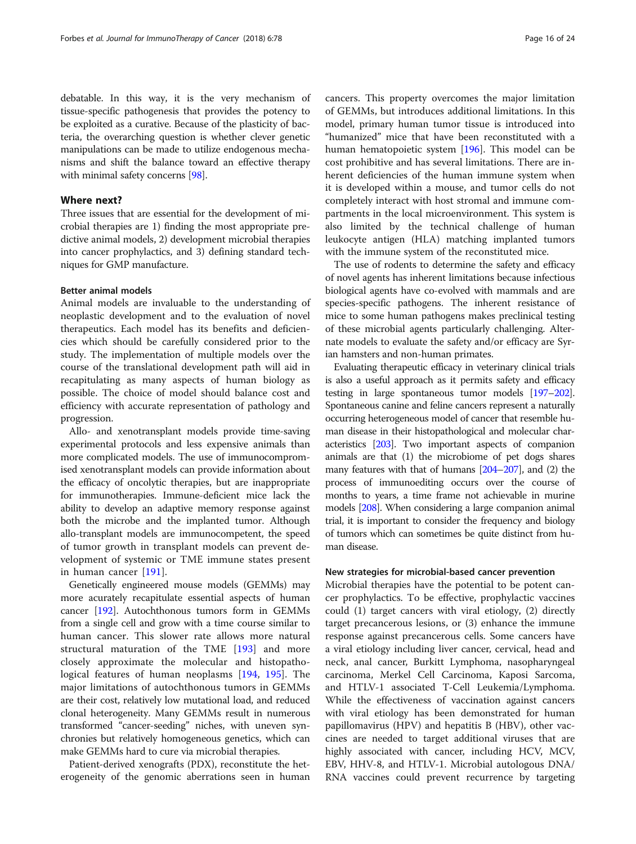debatable. In this way, it is the very mechanism of tissue-specific pathogenesis that provides the potency to be exploited as a curative. Because of the plasticity of bacteria, the overarching question is whether clever genetic manipulations can be made to utilize endogenous mechanisms and shift the balance toward an effective therapy with minimal safety concerns [\[98](#page-20-0)].

## Where next?

Three issues that are essential for the development of microbial therapies are 1) finding the most appropriate predictive animal models, 2) development microbial therapies into cancer prophylactics, and 3) defining standard techniques for GMP manufacture.

## Better animal models

Animal models are invaluable to the understanding of neoplastic development and to the evaluation of novel therapeutics. Each model has its benefits and deficiencies which should be carefully considered prior to the study. The implementation of multiple models over the course of the translational development path will aid in recapitulating as many aspects of human biology as possible. The choice of model should balance cost and efficiency with accurate representation of pathology and progression.

Allo- and xenotransplant models provide time-saving experimental protocols and less expensive animals than more complicated models. The use of immunocompromised xenotransplant models can provide information about the efficacy of oncolytic therapies, but are inappropriate for immunotherapies. Immune-deficient mice lack the ability to develop an adaptive memory response against both the microbe and the implanted tumor. Although allo-transplant models are immunocompetent, the speed of tumor growth in transplant models can prevent development of systemic or TME immune states present in human cancer [\[191](#page-22-0)].

Genetically engineered mouse models (GEMMs) may more acurately recapitulate essential aspects of human cancer [\[192\]](#page-22-0). Autochthonous tumors form in GEMMs from a single cell and grow with a time course similar to human cancer. This slower rate allows more natural structural maturation of the TME [[193](#page-22-0)] and more closely approximate the molecular and histopathological features of human neoplasms [\[194](#page-22-0), [195\]](#page-22-0). The major limitations of autochthonous tumors in GEMMs are their cost, relatively low mutational load, and reduced clonal heterogeneity. Many GEMMs result in numerous transformed "cancer-seeding" niches, with uneven synchronies but relatively homogeneous genetics, which can make GEMMs hard to cure via microbial therapies.

Patient-derived xenografts (PDX), reconstitute the heterogeneity of the genomic aberrations seen in human

cancers. This property overcomes the major limitation of GEMMs, but introduces additional limitations. In this model, primary human tumor tissue is introduced into "humanized" mice that have been reconstituted with a human hematopoietic system [[196](#page-23-0)]. This model can be cost prohibitive and has several limitations. There are inherent deficiencies of the human immune system when it is developed within a mouse, and tumor cells do not completely interact with host stromal and immune compartments in the local microenvironment. This system is also limited by the technical challenge of human leukocyte antigen (HLA) matching implanted tumors with the immune system of the reconstituted mice.

The use of rodents to determine the safety and efficacy of novel agents has inherent limitations because infectious biological agents have co-evolved with mammals and are species-specific pathogens. The inherent resistance of mice to some human pathogens makes preclinical testing of these microbial agents particularly challenging. Alternate models to evaluate the safety and/or efficacy are Syrian hamsters and non-human primates.

Evaluating therapeutic efficacy in veterinary clinical trials is also a useful approach as it permits safety and efficacy testing in large spontaneous tumor models [\[197](#page-23-0)–[202](#page-23-0)]. Spontaneous canine and feline cancers represent a naturally occurring heterogeneous model of cancer that resemble human disease in their histopathological and molecular characteristics [\[203](#page-23-0)]. Two important aspects of companion animals are that (1) the microbiome of pet dogs shares many features with that of humans [[204](#page-23-0)–[207\]](#page-23-0), and (2) the process of immunoediting occurs over the course of months to years, a time frame not achievable in murine models [[208\]](#page-23-0). When considering a large companion animal trial, it is important to consider the frequency and biology of tumors which can sometimes be quite distinct from human disease.

## New strategies for microbial-based cancer prevention

Microbial therapies have the potential to be potent cancer prophylactics. To be effective, prophylactic vaccines could (1) target cancers with viral etiology, (2) directly target precancerous lesions, or (3) enhance the immune response against precancerous cells. Some cancers have a viral etiology including liver cancer, cervical, head and neck, anal cancer, Burkitt Lymphoma, nasopharyngeal carcinoma, Merkel Cell Carcinoma, Kaposi Sarcoma, and HTLV-1 associated T-Cell Leukemia/Lymphoma. While the effectiveness of vaccination against cancers with viral etiology has been demonstrated for human papillomavirus (HPV) and hepatitis B (HBV), other vaccines are needed to target additional viruses that are highly associated with cancer, including HCV, MCV, EBV, HHV-8, and HTLV-1. Microbial autologous DNA/ RNA vaccines could prevent recurrence by targeting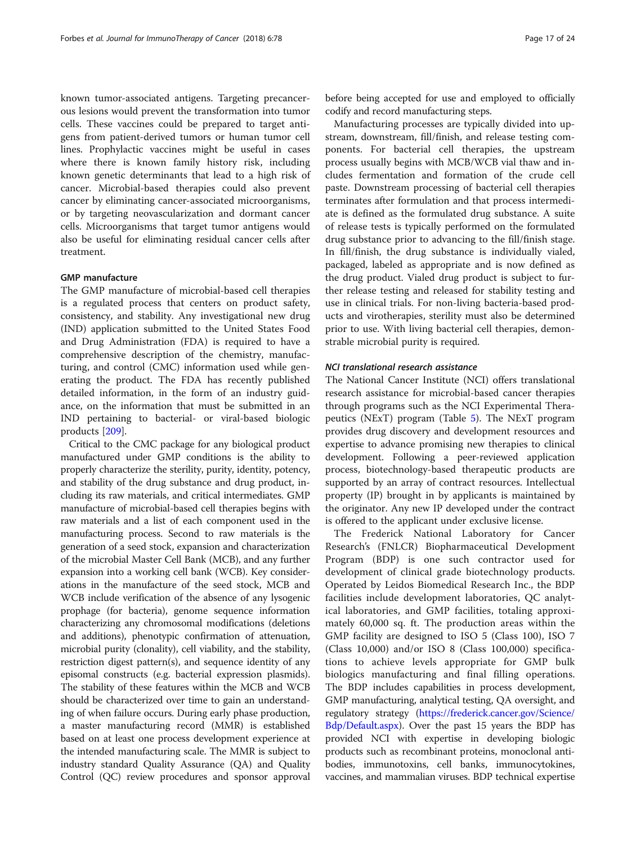known tumor-associated antigens. Targeting precancerous lesions would prevent the transformation into tumor cells. These vaccines could be prepared to target antigens from patient-derived tumors or human tumor cell lines. Prophylactic vaccines might be useful in cases where there is known family history risk, including known genetic determinants that lead to a high risk of cancer. Microbial-based therapies could also prevent cancer by eliminating cancer-associated microorganisms, or by targeting neovascularization and dormant cancer cells. Microorganisms that target tumor antigens would also be useful for eliminating residual cancer cells after treatment.

#### GMP manufacture

The GMP manufacture of microbial-based cell therapies is a regulated process that centers on product safety, consistency, and stability. Any investigational new drug (IND) application submitted to the United States Food and Drug Administration (FDA) is required to have a comprehensive description of the chemistry, manufacturing, and control (CMC) information used while generating the product. The FDA has recently published detailed information, in the form of an industry guidance, on the information that must be submitted in an IND pertaining to bacterial- or viral-based biologic products [[209](#page-23-0)].

Critical to the CMC package for any biological product manufactured under GMP conditions is the ability to properly characterize the sterility, purity, identity, potency, and stability of the drug substance and drug product, including its raw materials, and critical intermediates. GMP manufacture of microbial-based cell therapies begins with raw materials and a list of each component used in the manufacturing process. Second to raw materials is the generation of a seed stock, expansion and characterization of the microbial Master Cell Bank (MCB), and any further expansion into a working cell bank (WCB). Key considerations in the manufacture of the seed stock, MCB and WCB include verification of the absence of any lysogenic prophage (for bacteria), genome sequence information characterizing any chromosomal modifications (deletions and additions), phenotypic confirmation of attenuation, microbial purity (clonality), cell viability, and the stability, restriction digest pattern(s), and sequence identity of any episomal constructs (e.g. bacterial expression plasmids). The stability of these features within the MCB and WCB should be characterized over time to gain an understanding of when failure occurs. During early phase production, a master manufacturing record (MMR) is established based on at least one process development experience at the intended manufacturing scale. The MMR is subject to industry standard Quality Assurance (QA) and Quality Control (QC) review procedures and sponsor approval

before being accepted for use and employed to officially codify and record manufacturing steps.

Manufacturing processes are typically divided into upstream, downstream, fill/finish, and release testing components. For bacterial cell therapies, the upstream process usually begins with MCB/WCB vial thaw and includes fermentation and formation of the crude cell paste. Downstream processing of bacterial cell therapies terminates after formulation and that process intermediate is defined as the formulated drug substance. A suite of release tests is typically performed on the formulated drug substance prior to advancing to the fill/finish stage. In fill/finish, the drug substance is individually vialed, packaged, labeled as appropriate and is now defined as the drug product. Vialed drug product is subject to further release testing and released for stability testing and use in clinical trials. For non-living bacteria-based products and virotherapies, sterility must also be determined prior to use. With living bacterial cell therapies, demonstrable microbial purity is required.

## NCI translational research assistance

The National Cancer Institute (NCI) offers translational research assistance for microbial-based cancer therapies through programs such as the NCI Experimental Therapeutics (NExT) program (Table [5\)](#page-17-0). The NExT program provides drug discovery and development resources and expertise to advance promising new therapies to clinical development. Following a peer-reviewed application process, biotechnology-based therapeutic products are supported by an array of contract resources. Intellectual property (IP) brought in by applicants is maintained by the originator. Any new IP developed under the contract is offered to the applicant under exclusive license.

The Frederick National Laboratory for Cancer Research's (FNLCR) Biopharmaceutical Development Program (BDP) is one such contractor used for development of clinical grade biotechnology products. Operated by Leidos Biomedical Research Inc., the BDP facilities include development laboratories, QC analytical laboratories, and GMP facilities, totaling approximately 60,000 sq. ft. The production areas within the GMP facility are designed to ISO 5 (Class 100), ISO 7 (Class 10,000) and/or ISO 8 (Class 100,000) specifications to achieve levels appropriate for GMP bulk biologics manufacturing and final filling operations. The BDP includes capabilities in process development, GMP manufacturing, analytical testing, QA oversight, and regulatory strategy ([https://frederick.cancer.gov/Science/](https://frederick.cancer.gov/Science/Bdp/Default.aspx) [Bdp/Default.aspx](https://frederick.cancer.gov/Science/Bdp/Default.aspx)). Over the past 15 years the BDP has provided NCI with expertise in developing biologic products such as recombinant proteins, monoclonal antibodies, immunotoxins, cell banks, immunocytokines, vaccines, and mammalian viruses. BDP technical expertise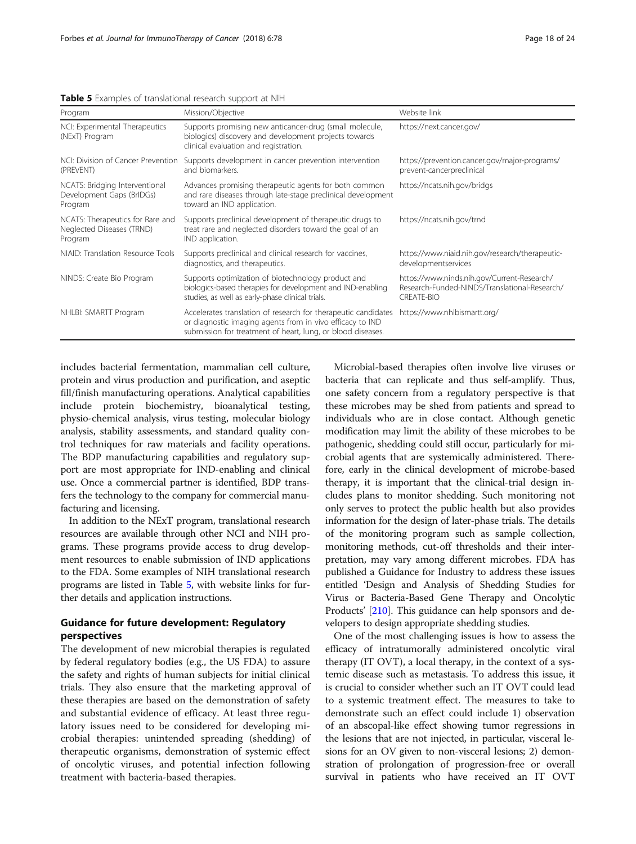<span id="page-17-0"></span>

| Table 5 Examples of translational research support at NIH |  |  |  |
|-----------------------------------------------------------|--|--|--|
|-----------------------------------------------------------|--|--|--|

| Program                                                                  | Mission/Objective                                                                                                                                                                          | Website link                                                                                                      |
|--------------------------------------------------------------------------|--------------------------------------------------------------------------------------------------------------------------------------------------------------------------------------------|-------------------------------------------------------------------------------------------------------------------|
| NCI: Experimental Therapeutics<br>(NExT) Program                         | Supports promising new anticancer-drug (small molecule,<br>biologics) discovery and development projects towards<br>clinical evaluation and registration.                                  | https://next.cancer.gov/                                                                                          |
| NCI: Division of Cancer Prevention<br>(PREVENT)                          | Supports development in cancer prevention intervention<br>and biomarkers.                                                                                                                  | https://prevention.cancer.gov/major-programs/<br>prevent-cancerpreclinical                                        |
| NCATS: Bridging Interventional<br>Development Gaps (BrIDGs)<br>Program   | Advances promising therapeutic agents for both common<br>and rare diseases through late-stage preclinical development<br>toward an IND application.                                        | https://ncats.nih.gov/bridgs                                                                                      |
| NCATS: Therapeutics for Rare and<br>Neglected Diseases (TRND)<br>Program | Supports preclinical development of therapeutic drugs to<br>treat rare and neglected disorders toward the goal of an<br>IND application.                                                   | https://ncats.nih.gov/trnd                                                                                        |
| NIAID: Translation Resource Tools                                        | Supports preclinical and clinical research for vaccines,<br>diagnostics, and therapeutics.                                                                                                 | https://www.niaid.nih.gov/research/therapeutic-<br>developmentservices                                            |
| NINDS: Create Bio Program                                                | Supports optimization of biotechnology product and<br>biologics-based therapies for development and IND-enabling<br>studies, as well as early-phase clinical trials.                       | https://www.ninds.nih.gov/Current-Research/<br>Research-Funded-NINDS/Translational-Research/<br><b>CREATE-BIO</b> |
| NHLBI: SMARTT Program                                                    | Accelerates translation of research for therapeutic candidates<br>or diagnostic imaging agents from in vivo efficacy to IND<br>submission for treatment of heart, lung, or blood diseases. | https://www.nhlbismartt.org/                                                                                      |

includes bacterial fermentation, mammalian cell culture, protein and virus production and purification, and aseptic fill/finish manufacturing operations. Analytical capabilities include protein biochemistry, bioanalytical testing, physio-chemical analysis, virus testing, molecular biology analysis, stability assessments, and standard quality control techniques for raw materials and facility operations. The BDP manufacturing capabilities and regulatory support are most appropriate for IND-enabling and clinical use. Once a commercial partner is identified, BDP transfers the technology to the company for commercial manufacturing and licensing.

In addition to the NExT program, translational research resources are available through other NCI and NIH programs. These programs provide access to drug development resources to enable submission of IND applications to the FDA. Some examples of NIH translational research programs are listed in Table 5, with website links for further details and application instructions.

## Guidance for future development: Regulatory perspectives

The development of new microbial therapies is regulated by federal regulatory bodies (e.g., the US FDA) to assure the safety and rights of human subjects for initial clinical trials. They also ensure that the marketing approval of these therapies are based on the demonstration of safety and substantial evidence of efficacy. At least three regulatory issues need to be considered for developing microbial therapies: unintended spreading (shedding) of therapeutic organisms, demonstration of systemic effect of oncolytic viruses, and potential infection following treatment with bacteria-based therapies.

Microbial-based therapies often involve live viruses or bacteria that can replicate and thus self-amplify. Thus, one safety concern from a regulatory perspective is that these microbes may be shed from patients and spread to individuals who are in close contact. Although genetic modification may limit the ability of these microbes to be pathogenic, shedding could still occur, particularly for microbial agents that are systemically administered. Therefore, early in the clinical development of microbe-based therapy, it is important that the clinical-trial design includes plans to monitor shedding. Such monitoring not only serves to protect the public health but also provides information for the design of later-phase trials. The details of the monitoring program such as sample collection, monitoring methods, cut-off thresholds and their interpretation, may vary among different microbes. FDA has published a Guidance for Industry to address these issues entitled 'Design and Analysis of Shedding Studies for Virus or Bacteria-Based Gene Therapy and Oncolytic Products' [\[210\]](#page-23-0). This guidance can help sponsors and developers to design appropriate shedding studies.

One of the most challenging issues is how to assess the efficacy of intratumorally administered oncolytic viral therapy (IT OVT), a local therapy, in the context of a systemic disease such as metastasis. To address this issue, it is crucial to consider whether such an IT OVT could lead to a systemic treatment effect. The measures to take to demonstrate such an effect could include 1) observation of an abscopal-like effect showing tumor regressions in the lesions that are not injected, in particular, visceral lesions for an OV given to non-visceral lesions; 2) demonstration of prolongation of progression-free or overall survival in patients who have received an IT OVT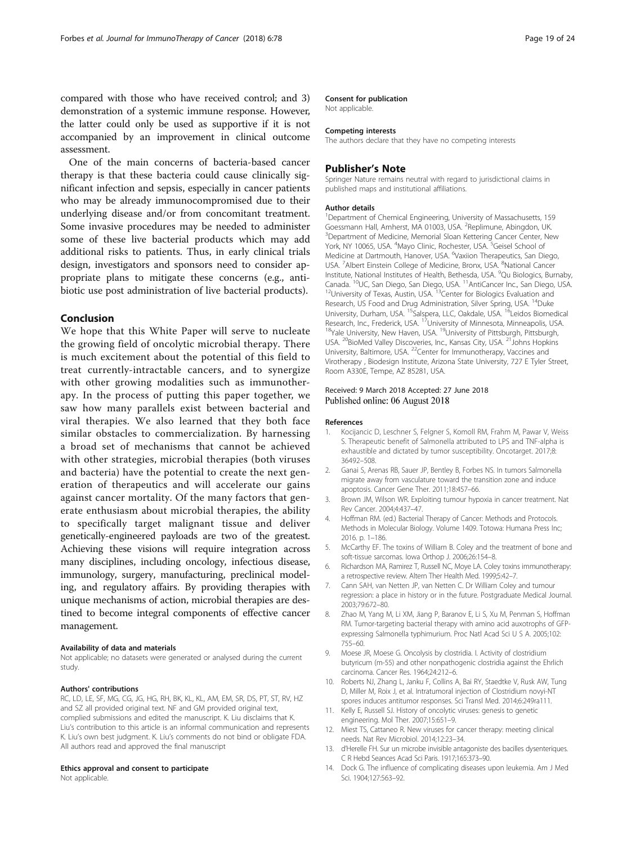<span id="page-18-0"></span>compared with those who have received control; and 3) demonstration of a systemic immune response. However, the latter could only be used as supportive if it is not accompanied by an improvement in clinical outcome assessment.

One of the main concerns of bacteria-based cancer therapy is that these bacteria could cause clinically significant infection and sepsis, especially in cancer patients who may be already immunocompromised due to their underlying disease and/or from concomitant treatment. Some invasive procedures may be needed to administer some of these live bacterial products which may add additional risks to patients. Thus, in early clinical trials design, investigators and sponsors need to consider appropriate plans to mitigate these concerns (e.g., antibiotic use post administration of live bacterial products).

## Conclusion

We hope that this White Paper will serve to nucleate the growing field of oncolytic microbial therapy. There is much excitement about the potential of this field to treat currently-intractable cancers, and to synergize with other growing modalities such as immunotherapy. In the process of putting this paper together, we saw how many parallels exist between bacterial and viral therapies. We also learned that they both face similar obstacles to commercialization. By harnessing a broad set of mechanisms that cannot be achieved with other strategies, microbial therapies (both viruses and bacteria) have the potential to create the next generation of therapeutics and will accelerate our gains against cancer mortality. Of the many factors that generate enthusiasm about microbial therapies, the ability to specifically target malignant tissue and deliver genetically-engineered payloads are two of the greatest. Achieving these visions will require integration across many disciplines, including oncology, infectious disease, immunology, surgery, manufacturing, preclinical modeling, and regulatory affairs. By providing therapies with unique mechanisms of action, microbial therapies are destined to become integral components of effective cancer management.

#### Availability of data and materials

Not applicable; no datasets were generated or analysed during the current study.

#### Authors' contributions

RC, LD, LE, SF, MG, CG, JG, HG, RH, BK, KL, KL, AM, EM, SR, DS, PT, ST, RV, HZ and SZ all provided original text. NF and GM provided original text, complied submissions and edited the manuscript. K. Liu disclaims that K. Liu's contribution to this article is an informal communication and represents K. Liu's own best judgment. K. Liu's comments do not bind or obligate FDA. All authors read and approved the final manuscript

#### Ethics approval and consent to participate

Not applicable.

#### Consent for publication

Not applicable.

#### Competing interests

The authors declare that they have no competing interests

#### Publisher's Note

Springer Nature remains neutral with regard to jurisdictional claims in published maps and institutional affiliations.

#### Author details

<sup>1</sup>Department of Chemical Engineering, University of Massachusetts, 159 Goessmann Hall, Amherst, MA 01003, USA. <sup>2</sup> Replimune, Abingdon, UK.<br><sup>3</sup> Department of Medicine, Memorial Sloan Kettering Cancer Center, Ne <sup>3</sup>Department of Medicine, Memorial Sloan Kettering Cancer Center, New York, NY 10065, USA. <sup>4</sup>Mayo Clinic, Rochester, USA. <sup>5</sup>Geisel School of Medicine at Dartmouth, Hanover, USA. <sup>6</sup>Vaxiion Therapeutics, San Diego, USA. <sup>7</sup> Albert Einstein College of Medicine, Bronx, USA. <sup>8</sup> National Cancer Institute, National Institutes of Health, Bethesda, USA. <sup>9</sup>Qu Biologics, Burnaby Canada. <sup>10</sup>UC, San Diego, San Diego, USA. <sup>11</sup>AntiCancer Inc., San Diego, USA. <sup>12</sup>University of Texas, Austin, USA. <sup>13</sup>Center for Biologics Evaluation and Research, US Food and Drug Administration, Silver Spring, USA. <sup>14</sup>Duke University, Durham, USA. <sup>15</sup>Salspera, LLC, Oakdale, USA. <sup>16</sup>Leidos Biomedical Research, Inc., Frederick, USA. <sup>17</sup>University of Minnesota, Minneapolis, USA.<br><sup>18</sup>Yale University, New Haven, USA. <sup>19</sup>University of Pittsburgh, Pittsburgh, USA. <sup>20</sup>BioMed Valley Discoveries, Inc., Kansas City, USA. <sup>21</sup>Johns Hopkins University, Baltimore, USA. 22Center for Immunotherapy, Vaccines and Virotherapy , Biodesign Institute, Arizona State University, 727 E Tyler Street, Room A330E, Tempe, AZ 85281, USA.

#### Received: 9 March 2018 Accepted: 27 June 2018 Published online: 06 August 2018

#### References

- 1. Kocijancic D, Leschner S, Felgner S, Komoll RM, Frahm M, Pawar V, Weiss S. Therapeutic benefit of Salmonella attributed to LPS and TNF-alpha is exhaustible and dictated by tumor susceptibility. Oncotarget. 2017;8: 36492–508.
- 2. Ganai S, Arenas RB, Sauer JP, Bentley B, Forbes NS. In tumors Salmonella migrate away from vasculature toward the transition zone and induce apoptosis. Cancer Gene Ther. 2011;18:457–66.
- 3. Brown JM, Wilson WR. Exploiting tumour hypoxia in cancer treatment. Nat Rev Cancer. 2004;4:437–47.
- 4. Hoffman RM. (ed.) Bacterial Therapy of Cancer: Methods and Protocols. Methods in Molecular Biology. Volume 1409. Totowa: Humana Press Inc; 2016. p. 1–186.
- 5. McCarthy EF. The toxins of William B. Coley and the treatment of bone and soft-tissue sarcomas. Iowa Orthop J. 2006;26:154–8.
- 6. Richardson MA, Ramirez T, Russell NC, Moye LA. Coley toxins immunotherapy: a retrospective review. Altern Ther Health Med. 1999;5:42–7.
- 7. Cann SAH, van Netten JP, van Netten C. Dr William Coley and tumour regression: a place in history or in the future. Postgraduate Medical Journal. 2003;79:672–80.
- 8. Zhao M, Yang M, Li XM, Jiang P, Baranov E, Li S, Xu M, Penman S, Hoffman RM. Tumor-targeting bacterial therapy with amino acid auxotrophs of GFPexpressing Salmonella typhimurium. Proc Natl Acad Sci U S A. 2005;102: 755–60.
- 9. Moese JR, Moese G. Oncolysis by clostridia. I. Activity of clostridium butyricum (m-55) and other nonpathogenic clostridia against the Ehrlich carcinoma. Cancer Res. 1964;24:212–6.
- 10. Roberts NJ, Zhang L, Janku F, Collins A, Bai RY, Staedtke V, Rusk AW, Tung D, Miller M, Roix J, et al. Intratumoral injection of Clostridium novyi-NT spores induces antitumor responses. Sci Transl Med. 2014;6:249ra111.
- 11. Kelly E, Russell SJ. History of oncolytic viruses: genesis to genetic engineering. Mol Ther. 2007;15:651–9.
- 12. Miest TS, Cattaneo R. New viruses for cancer therapy: meeting clinical needs. Nat Rev Microbiol. 2014;12:23–34.
- 13. d'Herelle FH. Sur un microbe invisible antagoniste des bacilles dysenteriques. C R Hebd Seances Acad Sci Paris. 1917;165:373–90.
- 14. Dock G. The influence of complicating diseases upon leukemia. Am J Med Sci. 1904;127:563–92.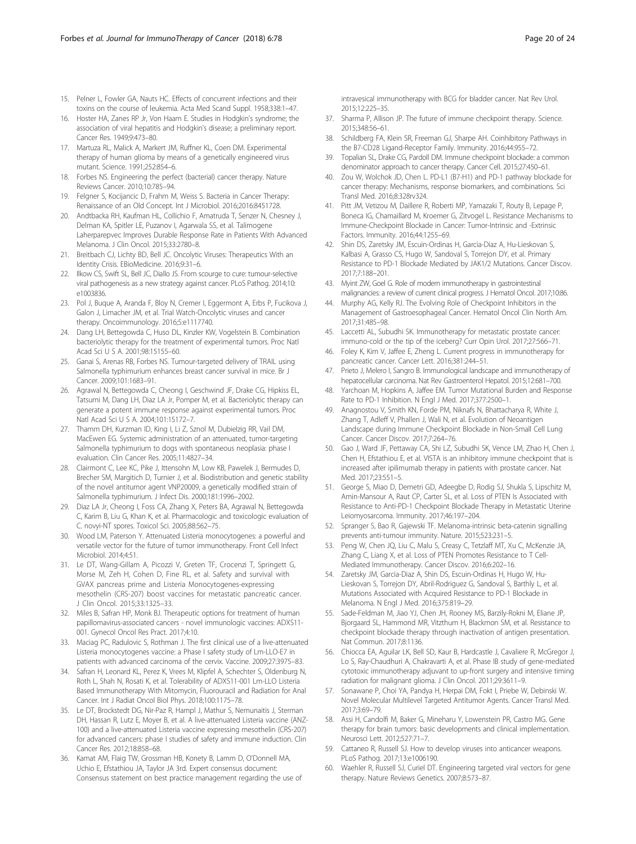- <span id="page-19-0"></span>15. Pelner L, Fowler GA, Nauts HC. Effects of concurrent infections and their toxins on the course of leukemia. Acta Med Scand Suppl. 1958;338:1–47.
- 16. Hoster HA, Zanes RP Jr, Von Haam E. Studies in Hodgkin's syndrome; the association of viral hepatitis and Hodgkin's disease; a preliminary report. Cancer Res. 1949;9:473–80.
- 17. Martuza RL, Malick A, Markert JM, Ruffner KL, Coen DM. Experimental therapy of human glioma by means of a genetically engineered virus mutant. Science. 1991;252:854–6.
- 18. Forbes NS. Engineering the perfect (bacterial) cancer therapy. Nature Reviews Cancer. 2010;10:785–94.
- Felgner S, Kocijancic D, Frahm M, Weiss S. Bacteria in Cancer Therapy: Renaissance of an Old Concept. Int J Microbiol. 2016;2016:8451728.
- 20. Andtbacka RH, Kaufman HL, Collichio F, Amatruda T, Senzer N, Chesney J, Delman KA, Spitler LE, Puzanov I, Agarwala SS, et al. Talimogene Laherparepvec Improves Durable Response Rate in Patients With Advanced Melanoma. J Clin Oncol. 2015;33:2780–8.
- 21. Breitbach CJ, Lichty BD, Bell JC. Oncolytic Viruses: Therapeutics With an Identity Crisis. EBioMedicine. 2016;9:31–6.
- 22. Ilkow CS, Swift SL, Bell JC, Diallo JS. From scourge to cure: tumour-selective viral pathogenesis as a new strategy against cancer. PLoS Pathog. 2014;10: e1003836.
- 23. Pol J, Buque A, Aranda F, Bloy N, Cremer I, Eggermont A, Erbs P, Fucikova J, Galon J, Limacher JM, et al. Trial Watch-Oncolytic viruses and cancer therapy. Oncoimmunology. 2016;5:e1117740.
- 24. Dang LH, Bettegowda C, Huso DL, Kinzler KW, Vogelstein B. Combination bacteriolytic therapy for the treatment of experimental tumors. Proc Natl Acad Sci U S A. 2001;98:15155–60.
- 25. Ganai S, Arenas RB, Forbes NS. Tumour-targeted delivery of TRAIL using Salmonella typhimurium enhances breast cancer survival in mice. Br J Cancer. 2009;101:1683–91.
- 26. Agrawal N, Bettegowda C, Cheong I, Geschwind JF, Drake CG, Hipkiss EL, Tatsumi M, Dang LH, Diaz LA Jr, Pomper M, et al. Bacteriolytic therapy can generate a potent immune response against experimental tumors. Proc Natl Acad Sci U S A. 2004;101:15172–7.
- 27. Thamm DH, Kurzman ID, King I, Li Z, Sznol M, Dubielzig RR, Vail DM, MacEwen EG. Systemic administration of an attenuated, tumor-targeting Salmonella typhimurium to dogs with spontaneous neoplasia: phase I evaluation. Clin Cancer Res. 2005;11:4827–34.
- 28. Clairmont C, Lee KC, Pike J, Ittensohn M, Low KB, Pawelek J, Bermudes D, Brecher SM, Margitich D, Turnier J, et al. Biodistribution and genetic stability of the novel antitumor agent VNP20009, a genetically modified strain of Salmonella typhimurium. J Infect Dis. 2000;181:1996–2002.
- 29. Diaz LA Jr, Cheong I, Foss CA, Zhang X, Peters BA, Agrawal N, Bettegowda C, Karim B, Liu G, Khan K, et al. Pharmacologic and toxicologic evaluation of C. novyi-NT spores. Toxicol Sci. 2005;88:562–75.
- 30. Wood LM, Paterson Y. Attenuated Listeria monocytogenes: a powerful and versatile vector for the future of tumor immunotherapy. Front Cell Infect Microbiol. 2014;4:51.
- 31. Le DT, Wang-Gillam A, Picozzi V, Greten TF, Crocenzi T, Springett G, Morse M, Zeh H, Cohen D, Fine RL, et al. Safety and survival with GVAX pancreas prime and Listeria Monocytogenes-expressing mesothelin (CRS-207) boost vaccines for metastatic pancreatic cancer. J Clin Oncol. 2015;33:1325–33.
- 32. Miles B, Safran HP, Monk BJ. Therapeutic options for treatment of human papillomavirus-associated cancers - novel immunologic vaccines: ADXS11- 001. Gynecol Oncol Res Pract. 2017;4:10.
- 33. Maciag PC, Radulovic S, Rothman J. The first clinical use of a live-attenuated Listeria monocytogenes vaccine: a Phase I safety study of Lm-LLO-E7 in patients with advanced carcinoma of the cervix. Vaccine. 2009;27:3975–83.
- 34. Safran H, Leonard KL, Perez K, Vrees M, Klipfel A, Schechter S, Oldenburg N, Roth L, Shah N, Rosati K, et al. Tolerability of ADXS11-001 Lm-LLO Listeria Based Immunotherapy With Mitomycin, Fluorouracil and Radiation for Anal Cancer. Int J Radiat Oncol Biol Phys. 2018;100:1175–78.
- 35. Le DT, Brockstedt DG, Nir-Paz R, Hampl J, Mathur S, Nemunaitis J, Sterman DH, Hassan R, Lutz E, Moyer B, et al. A live-attenuated Listeria vaccine (ANZ-100) and a live-attenuated Listeria vaccine expressing mesothelin (CRS-207) for advanced cancers: phase I studies of safety and immune induction. Clin Cancer Res. 2012;18:858–68.
- 36. Kamat AM, Flaig TW, Grossman HB, Konety B, Lamm D, O'Donnell MA, Uchio E, Efstathiou JA, Taylor JA 3rd. Expert consensus document: Consensus statement on best practice management regarding the use of

intravesical immunotherapy with BCG for bladder cancer. Nat Rev Urol. 2015;12:225–35.

- 37. Sharma P, Allison JP. The future of immune checkpoint therapy. Science. 2015;348:56–61.
- 38. Schildberg FA, Klein SR, Freeman GJ, Sharpe AH. Coinhibitory Pathways in the B7-CD28 Ligand-Receptor Family. Immunity. 2016;44:955–72.
- 39. Topalian SL, Drake CG, Pardoll DM. Immune checkpoint blockade: a common denominator approach to cancer therapy. Cancer Cell. 2015;27:450–61.
- 40. Zou W, Wolchok JD, Chen L. PD-L1 (B7-H1) and PD-1 pathway blockade for cancer therapy: Mechanisms, response biomarkers, and combinations. Sci Transl Med. 2016;8:328rv324.
- 41. Pitt JM, Vetizou M, Daillere R, Roberti MP, Yamazaki T, Routy B, Lepage P, Boneca IG, Chamaillard M, Kroemer G, Zitvogel L. Resistance Mechanisms to Immune-Checkpoint Blockade in Cancer: Tumor-Intrinsic and -Extrinsic Factors. Immunity. 2016;44:1255–69.
- 42. Shin DS, Zaretsky JM, Escuin-Ordinas H, Garcia-Diaz A, Hu-Lieskovan S, Kalbasi A, Grasso CS, Hugo W, Sandoval S, Torrejon DY, et al. Primary Resistance to PD-1 Blockade Mediated by JAK1/2 Mutations. Cancer Discov. 2017;7:188–201.
- 43. Myint ZW, Goel G. Role of modern immunotherapy in gastrointestinal malignancies: a review of current clinical progress. J Hematol Oncol. 2017;10:86.
- 44. Murphy AG, Kelly RJ. The Evolving Role of Checkpoint Inhibitors in the Management of Gastroesophageal Cancer. Hematol Oncol Clin North Am. 2017;31:485–98.
- 45. Laccetti AL, Subudhi SK. Immunotherapy for metastatic prostate cancer: immuno-cold or the tip of the iceberg? Curr Opin Urol. 2017;27:566–71.
- 46. Foley K, Kim V, Jaffee E, Zheng L. Current progress in immunotherapy for pancreatic cancer. Cancer Lett. 2016;381:244–51.
- 47. Prieto J, Melero I, Sangro B. Immunological landscape and immunotherapy of hepatocellular carcinoma. Nat Rev Gastroenterol Hepatol. 2015;12:681–700.
- 48. Yarchoan M, Hopkins A, Jaffee EM. Tumor Mutational Burden and Response Rate to PD-1 Inhibition. N Engl J Med. 2017;377:2500–1.
- 49. Anagnostou V, Smith KN, Forde PM, Niknafs N, Bhattacharya R, White J, Zhang T, Adleff V, Phallen J, Wali N, et al. Evolution of Neoantigen Landscape during Immune Checkpoint Blockade in Non-Small Cell Lung Cancer. Cancer Discov. 2017;7:264–76.
- 50. Gao J, Ward JF, Pettaway CA, Shi LZ, Subudhi SK, Vence LM, Zhao H, Chen J, Chen H, Efstathiou E, et al. VISTA is an inhibitory immune checkpoint that is increased after ipilimumab therapy in patients with prostate cancer. Nat Med. 2017;23:551–5.
- 51. George S, Miao D, Demetri GD, Adeegbe D, Rodig SJ, Shukla S, Lipschitz M, Amin-Mansour A, Raut CP, Carter SL, et al. Loss of PTEN Is Associated with Resistance to Anti-PD-1 Checkpoint Blockade Therapy in Metastatic Uterine Leiomyosarcoma. Immunity. 2017;46:197–204.
- 52. Spranger S, Bao R, Gajewski TF. Melanoma-intrinsic beta-catenin signalling prevents anti-tumour immunity. Nature. 2015;523:231–5.
- 53. Peng W, Chen JQ, Liu C, Malu S, Creasy C, Tetzlaff MT, Xu C, McKenzie JA, Zhang C, Liang X, et al. Loss of PTEN Promotes Resistance to T Cell-Mediated Immunotherapy. Cancer Discov. 2016;6:202–16.
- 54. Zaretsky JM, Garcia-Diaz A, Shin DS, Escuin-Ordinas H, Hugo W, Hu-Lieskovan S, Torrejon DY, Abril-Rodriguez G, Sandoval S, Barthly L, et al. Mutations Associated with Acquired Resistance to PD-1 Blockade in Melanoma. N Engl J Med. 2016;375:819–29.
- 55. Sade-Feldman M, Jiao YJ, Chen JH, Rooney MS, Barzily-Rokni M, Eliane JP, Bjorgaard SL, Hammond MR, Vitzthum H, Blackmon SM, et al. Resistance to checkpoint blockade therapy through inactivation of antigen presentation. Nat Commun. 2017;8:1136.
- 56. Chiocca EA, Aguilar LK, Bell SD, Kaur B, Hardcastle J, Cavaliere R, McGregor J, Lo S, Ray-Chaudhuri A, Chakravarti A, et al. Phase IB study of gene-mediated cytotoxic immunotherapy adjuvant to up-front surgery and intensive timing radiation for malignant glioma. J Clin Oncol. 2011;29:3611–9.
- 57. Sonawane P, Choi YA, Pandya H, Herpai DM, Fokt I, Priebe W, Debinski W. Novel Molecular Multilevel Targeted Antitumor Agents. Cancer Transl Med. 2017;3:69–79.
- Assi H, Candolfi M, Baker G, Mineharu Y, Lowenstein PR, Castro MG. Gene therapy for brain tumors: basic developments and clinical implementation. Neurosci Lett. 2012;527:71–7.
- 59. Cattaneo R, Russell SJ. How to develop viruses into anticancer weapons. PLoS Pathog. 2017;13:e1006190.
- 60. Waehler R, Russell SJ, Curiel DT. Engineering targeted viral vectors for gene therapy. Nature Reviews Genetics. 2007;8:573–87.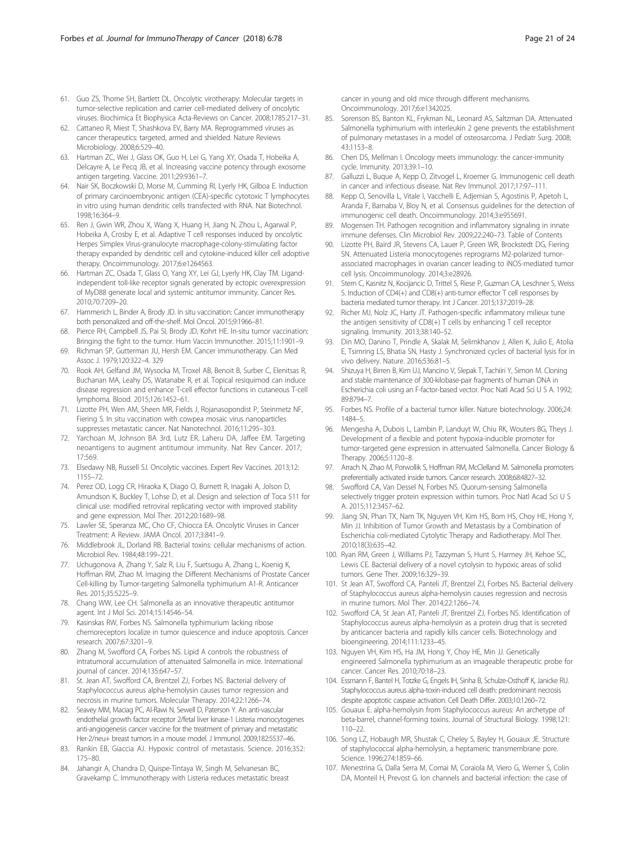- <span id="page-20-0"></span>61. Guo ZS, Thorne SH, Bartlett DL. Oncolytic virotherapy: Molecular targets in tumor-selective replication and carrier cell-mediated delivery of oncolytic viruses. Biochimica Et Biophysica Acta-Reviews on Cancer. 2008;1785:217–31.
- 62. Cattaneo R, Miest T, Shashkova EV, Barry MA. Reprogrammed viruses as cancer therapeutics: targeted, armed and shielded. Nature Reviews Microbiology. 2008;6:529–40.
- 63. Hartman ZC, Wei J, Glass OK, Guo H, Lei G, Yang XY, Osada T, Hobeika A, Delcayre A, Le Pecq JB, et al. Increasing vaccine potency through exosome antigen targeting. Vaccine. 2011;29:9361–7.
- 64. Nair SK, Boczkowski D, Morse M, Cumming RI, Lyerly HK, Gilboa E. Induction of primary carcinoembryonic antigen (CEA)-specific cytotoxic T lymphocytes in vitro using human dendritic cells transfected with RNA. Nat Biotechnol. 1998;16:364–9.
- 65. Ren J, Gwin WR, Zhou X, Wang X, Huang H, Jiang N, Zhou L, Agarwal P, Hobeika A, Crosby E, et al. Adaptive T cell responses induced by oncolytic Herpes Simplex Virus-granulocyte macrophage-colony-stimulating factor therapy expanded by dendritic cell and cytokine-induced killer cell adoptive therapy. Oncoimmunology. 2017;6:e1264563.
- 66. Hartman ZC, Osada T, Glass O, Yang XY, Lei GJ, Lyerly HK, Clay TM. Ligandindependent toll-like receptor signals generated by ectopic overexpression of MyD88 generate local and systemic antitumor immunity. Cancer Res. 2010;70:7209–20.
- 67. Hammerich L, Binder A, Brody JD. In situ vaccination: Cancer immunotherapy both personalized and off-the-shelf. Mol Oncol. 2015;9:1966–81.
- Pierce RH, Campbell JS, Pai SI, Brody JD, Kohrt HE. In-situ tumor vaccination: Bringing the fight to the tumor. Hum Vaccin Immunother. 2015;11:1901–9.
- 69. Richman SP, Gutterman JU, Hersh EM. Cancer immunotherapy. Can Med Assoc J. 1979;120:322–4. 329
- 70. Rook AH, Gelfand JM, Wysocka M, Troxel AB, Benoit B, Surber C, Elenitsas R, Buchanan MA, Leahy DS, Watanabe R, et al. Topical resiquimod can induce disease regression and enhance T-cell effector functions in cutaneous T-cell lymphoma. Blood. 2015;126:1452–61.
- 71. Lizotte PH, Wen AM, Sheen MR, Fields J, Rojanasopondist P, Steinmetz NF, Fiering S. In situ vaccination with cowpea mosaic virus nanoparticles suppresses metastatic cancer. Nat Nanotechnol. 2016;11:295–303.
- 72. Yarchoan M, Johnson BA 3rd, Lutz ER, Laheru DA, Jaffee EM. Targeting neoantigens to augment antitumour immunity. Nat Rev Cancer. 2017; 17:569.
- 73. Elsedawy NB, Russell SJ. Oncolytic vaccines. Expert Rev Vaccines. 2013;12: 1155–72.
- 74. Perez OD, Logg CR, Hiraoka K, Diago O, Burnett R, Inagaki A, Jolson D, Amundson K, Buckley T, Lohse D, et al. Design and selection of Toca 511 for clinical use: modified retroviral replicating vector with improved stability and gene expression. Mol Ther. 2012;20:1689–98.
- 75. Lawler SE, Speranza MC, Cho CF, Chiocca EA. Oncolytic Viruses in Cancer Treatment: A Review. JAMA Oncol. 2017;3:841–9.
- Middlebrook JL, Dorland RB. Bacterial toxins: cellular mechanisms of action. Microbiol Rev. 1984;48:199–221.
- 77. Uchugonova A, Zhang Y, Salz R, Liu F, Suetsugu A, Zhang L, Koenig K, Hoffman RM, Zhao M. Imaging the Different Mechanisms of Prostate Cancer Cell-killing by Tumor-targeting Salmonella typhimurium A1-R. Anticancer Res. 2015;35:5225–9.
- 78. Chang WW, Lee CH. Salmonella as an innovative therapeutic antitumor agent. Int J Mol Sci. 2014;15:14546–54.
- 79. Kasinskas RW, Forbes NS. Salmonella typhimurium lacking ribose chemoreceptors localize in tumor quiescence and induce apoptosis. Cancer research. 2007;67:3201–9.
- 80. Zhang M, Swofford CA, Forbes NS. Lipid A controls the robustness of intratumoral accumulation of attenuated Salmonella in mice. International journal of cancer. 2014;135:647–57.
- 81. St. Jean AT, Swofford CA, Brentzel ZJ, Forbes NS. Bacterial delivery of Staphylococcus aureus alpha-hemolysin causes tumor regression and necrosis in murine tumors. Molecular Therapy. 2014;22:1266–74.
- 82. Seavey MM, Maciag PC, Al-Rawi N, Sewell D, Paterson Y. An anti-vascular endothelial growth factor receptor 2/fetal liver kinase-1 Listeria monocytogenes anti-angiogenesis cancer vaccine for the treatment of primary and metastatic Her-2/neu+ breast tumors in a mouse model. J Immunol. 2009;182:5537–46.
- 83. Rankin EB, Giaccia AJ. Hypoxic control of metastasis. Science. 2016;352: 175–80.
- 84. Jahangir A, Chandra D, Quispe-Tintaya W, Singh M, Selvanesan BC, Gravekamp C. Immunotherapy with Listeria reduces metastatic breast

cancer in young and old mice through different mechanisms. Oncoimmunology. 2017;6:e1342025.

- 85. Sorenson BS, Banton KL, Frykman NL, Leonard AS, Saltzman DA. Attenuated Salmonella typhimurium with interleukin 2 gene prevents the establishment of pulmonary metastases in a model of osteosarcoma. J Pediatr Surg. 2008; 43:1153–8.
- 86. Chen DS, Mellman I. Oncology meets immunology: the cancer-immunity cycle. Immunity. 2013;39:1–10.
- 87. Galluzzi L, Buque A, Kepp O, Zitvogel L, Kroemer G. Immunogenic cell death in cancer and infectious disease. Nat Rev Immunol. 2017;17:97–111.
- 88. Kepp O, Senovilla L, Vitale I, Vacchelli E, Adjemian S, Agostinis P, Apetoh L, Aranda F, Barnaba V, Bloy N, et al. Consensus guidelines for the detection of immunogenic cell death. Oncoimmunology. 2014;3:e955691.
- 89. Mogensen TH. Pathogen recognition and inflammatory signaling in innate immune defenses. Clin Microbiol Rev. 2009;22:240–73. Table of Contents
- 90. Lizotte PH, Baird JR, Stevens CA, Lauer P, Green WR, Brockstedt DG, Fiering SN. Attenuated Listeria monocytogenes reprograms M2-polarized tumorassociated macrophages in ovarian cancer leading to iNOS-mediated tumor cell lysis. Oncoimmunology. 2014;3:e28926.
- 91. Stern C, Kasnitz N, Kocijancic D, Trittel S, Riese P, Guzman CA, Leschner S, Weiss S. Induction of CD4(+) and CD8(+) anti-tumor effector T cell responses by bacteria mediated tumor therapy. Int J Cancer. 2015;137:2019–28.
- 92. Richer MJ, Nolz JC, Harty JT. Pathogen-specific inflammatory milieux tune the antigen sensitivity of CD8(+) T cells by enhancing T cell receptor signaling. Immunity. 2013;38:140–52.
- 93. Din MO, Danino T, Prindle A, Skalak M, Selimkhanov J, Allen K, Julio E, Atolia E, Tsimring LS, Bhatia SN, Hasty J. Synchronized cycles of bacterial lysis for in vivo delivery. Nature. 2016;536:81–5.
- 94. Shizuya H, Birren B, Kim UJ, Mancino V, Slepak T, Tachiiri Y, Simon M. Cloning and stable maintenance of 300-kilobase-pair fragments of human DNA in Escherichia coli using an F-factor-based vector. Proc Natl Acad Sci U S A. 1992; 89:8794–7.
- 95. Forbes NS. Profile of a bacterial tumor killer. Nature biotechnology. 2006;24: 1484–5.
- 96. Mengesha A, Dubois L, Lambin P, Landuyt W, Chiu RK, Wouters BG, Theys J. Development of a flexible and potent hypoxia-inducible promoter for tumor-targeted gene expression in attenuated Salmonella. Cancer Biology & Therapy. 2006;5:1120–8.
- 97. Arrach N, Zhao M, Porwollik S, Hoffman RM, McClelland M. Salmonella promoters preferentially activated inside tumors. Cancer research. 2008;68:4827–32.
- 98. Swofford CA, Van Dessel N, Forbes NS. Quorum-sensing Salmonella selectively trigger protein expression within tumors. Proc Natl Acad Sci U S A. 2015;112:3457–62.
- 99. Jiang SN, Phan TX, Nam TK, Nguyen VH, Kim HS, Bom HS, Choy HE, Hong Y, Min JJ. Inhibition of Tumor Growth and Metastasis by a Combination of Escherichia coli-mediated Cytolytic Therapy and Radiotherapy. Mol Ther. 2010;18(3):635–42.
- 100. Ryan RM, Green J, Williams PJ, Tazzyman S, Hunt S, Harmey JH, Kehoe SC, Lewis CE. Bacterial delivery of a novel cytolysin to hypoxic areas of solid tumors. Gene Ther. 2009;16:329–39.
- 101. St Jean AT, Swofford CA, Panteli JT, Brentzel ZJ, Forbes NS. Bacterial delivery of Staphylococcus aureus alpha-hemolysin causes regression and necrosis in murine tumors. Mol Ther. 2014;22:1266–74.
- 102. Swofford CA, St Jean AT, Panteli JT, Brentzel ZJ, Forbes NS. Identification of Staphylococcus aureus alpha-hemolysin as a protein drug that is secreted by anticancer bacteria and rapidly kills cancer cells. Biotechnology and bioengineering. 2014;111:1233–45.
- 103. Nguyen VH, Kim HS, Ha JM, Hong Y, Choy HE, Min JJ. Genetically engineered Salmonella typhimurium as an imageable therapeutic probe for cancer. Cancer Res. 2010;70:18–23.
- 104. Essmann F, Bantel H, Totzke G, Engels IH, Sinha B, Schulze-Osthoff K, Janicke RU. Staphylococcus aureus alpha-toxin-induced cell death: predominant necrosis despite apoptotic caspase activation. Cell Death Differ. 2003;10:1260–72.
- 105. Gouaux E. alpha-hemolysin from Staphylococcus aureus: An archetype of beta-barrel, channel-forming toxins. Journal of Structural Biology. 1998;121: 110–22.
- 106. Song LZ, Hobaugh MR, Shustak C, Cheley S, Bayley H, Gouaux JE. Structure of staphylococcal alpha-hemolysin, a heptameric transmembrane pore. Science. 1996;274:1859–66.
- 107. Menestrina G, Dalla Serra M, Comai M, Coraiola M, Viero G, Werner S, Colin DA, Monteil H, Prevost G. Ion channels and bacterial infection: the case of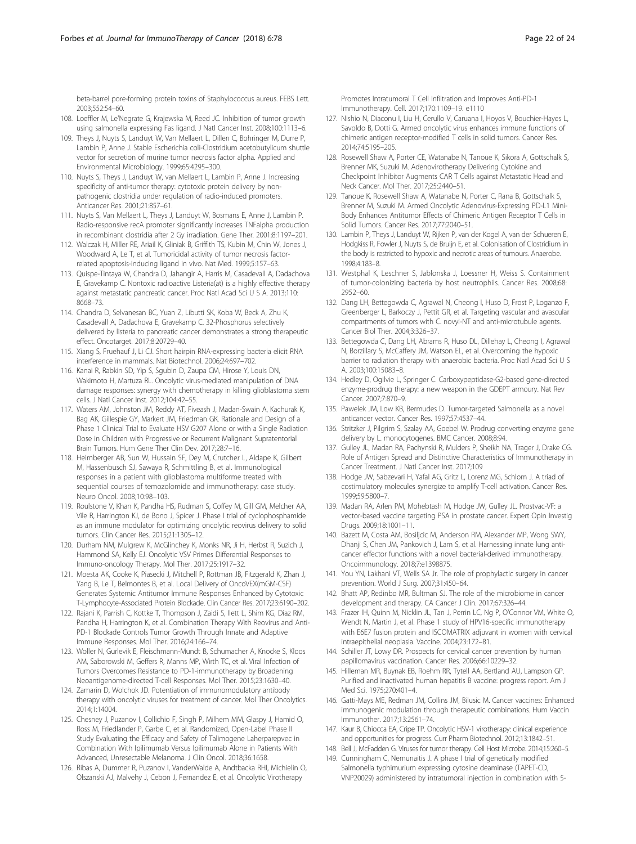<span id="page-21-0"></span>beta-barrel pore-forming protein toxins of Staphylococcus aureus. FEBS Lett. 2003;552:54–60.

- 108. Loeffler M, Le'Negrate G, Krajewska M, Reed JC. Inhibition of tumor growth using salmonella expressing Fas ligand. J Natl Cancer Inst. 2008;100:1113–6.
- 109. Theys J, Nuyts S, Landuyt W, Van Mellaert L, Dillen C, Bohringer M, Durre P, Lambin P, Anne J. Stable Escherichia coli-Clostridium acetobutylicum shuttle vector for secretion of murine tumor necrosis factor alpha. Applied and Environmental Microbiology. 1999;65:4295–300.
- 110. Nuyts S, Theys J, Landuyt W, van Mellaert L, Lambin P, Anne J. Increasing specificity of anti-tumor therapy: cytotoxic protein delivery by nonpathogenic clostridia under regulation of radio-induced promoters. Anticancer Res. 2001;21:857–61.
- 111. Nuyts S, Van Mellaert L, Theys J, Landuyt W, Bosmans E, Anne J, Lambin P. Radio-responsive recA promoter significantly increases TNFalpha production in recombinant clostridia after 2 Gy irradiation. Gene Ther. 2001;8:1197–201.
- 112. Walczak H, Miller RE, Ariail K, Gliniak B, Griffith TS, Kubin M, Chin W, Jones J, Woodward A, Le T, et al. Tumoricidal activity of tumor necrosis factorrelated apoptosis-inducing ligand in vivo. Nat Med. 1999;5:157–63.
- 113. Quispe-Tintaya W, Chandra D, Jahangir A, Harris M, Casadevall A, Dadachova E, Gravekamp C. Nontoxic radioactive Listeria(at) is a highly effective therapy against metastatic pancreatic cancer. Proc Natl Acad Sci U S A. 2013;110: 8668–73.
- 114. Chandra D, Selvanesan BC, Yuan Z, Libutti SK, Koba W, Beck A, Zhu K, Casadevall A, Dadachova E, Gravekamp C. 32-Phosphorus selectively delivered by listeria to pancreatic cancer demonstrates a strong therapeutic effect. Oncotarget. 2017;8:20729–40.
- 115. Xiang S, Fruehauf J, Li CJ. Short hairpin RNA-expressing bacteria elicit RNA interference in mammals. Nat Biotechnol. 2006;24:697–702.
- 116. Kanai R, Rabkin SD, Yip S, Sgubin D, Zaupa CM, Hirose Y, Louis DN, Wakimoto H, Martuza RL. Oncolytic virus-mediated manipulation of DNA damage responses: synergy with chemotherapy in killing glioblastoma stem cells. J Natl Cancer Inst. 2012;104:42–55.
- 117. Waters AM, Johnston JM, Reddy AT, Fiveash J, Madan-Swain A, Kachurak K, Bag AK, Gillespie GY, Markert JM, Friedman GK. Rationale and Design of a Phase 1 Clinical Trial to Evaluate HSV G207 Alone or with a Single Radiation Dose in Children with Progressive or Recurrent Malignant Supratentorial Brain Tumors. Hum Gene Ther Clin Dev. 2017;28:7–16.
- 118. Heimberger AB, Sun W, Hussain SF, Dey M, Crutcher L, Aldape K, Gilbert M, Hassenbusch SJ, Sawaya R, Schmittling B, et al. Immunological responses in a patient with glioblastoma multiforme treated with sequential courses of temozolomide and immunotherapy: case study. Neuro Oncol. 2008;10:98–103.
- 119. Roulstone V, Khan K, Pandha HS, Rudman S, Coffey M, Gill GM, Melcher AA, Vile R, Harrington KJ, de Bono J, Spicer J. Phase I trial of cyclophosphamide as an immune modulator for optimizing oncolytic reovirus delivery to solid tumors. Clin Cancer Res. 2015;21:1305–12.
- 120. Durham NM, Mulgrew K, McGlinchey K, Monks NR, Ji H, Herbst R, Suzich J, Hammond SA, Kelly EJ. Oncolytic VSV Primes Differential Responses to Immuno-oncology Therapy. Mol Ther. 2017;25:1917–32.
- 121. Moesta AK, Cooke K, Piasecki J, Mitchell P, Rottman JB, Fitzgerald K, Zhan J, Yang B, Le T, Belmontes B, et al. Local Delivery of OncoVEX(mGM-CSF) Generates Systemic Antitumor Immune Responses Enhanced by Cytotoxic T-Lymphocyte-Associated Protein Blockade. Clin Cancer Res. 2017;23:6190–202.
- 122. Rajani K, Parrish C, Kottke T, Thompson J, Zaidi S, Ilett L, Shim KG, Diaz RM, Pandha H, Harrington K, et al. Combination Therapy With Reovirus and Anti-PD-1 Blockade Controls Tumor Growth Through Innate and Adaptive Immune Responses. Mol Ther. 2016;24:166–74.
- 123. Woller N, Gurlevik E, Fleischmann-Mundt B, Schumacher A, Knocke S, Kloos AM, Saborowski M, Geffers R, Manns MP, Wirth TC, et al. Viral Infection of Tumors Overcomes Resistance to PD-1-immunotherapy by Broadening Neoantigenome-directed T-cell Responses. Mol Ther. 2015;23:1630–40.
- 124. Zamarin D, Wolchok JD. Potentiation of immunomodulatory antibody therapy with oncolytic viruses for treatment of cancer. Mol Ther Oncolytics. 2014;1:14004.
- 125. Chesney J, Puzanov I, Collichio F, Singh P, Milhem MM, Glaspy J, Hamid O, Ross M, Friedlander P, Garbe C, et al. Randomized, Open-Label Phase II Study Evaluating the Efficacy and Safety of Talimogene Laherparepvec in Combination With Ipilimumab Versus Ipilimumab Alone in Patients With Advanced, Unresectable Melanoma. J Clin Oncol. 2018;36:1658.
- 126. Ribas A, Dummer R, Puzanov I, VanderWalde A, Andtbacka RHI, Michielin O, Olszanski AJ, Malvehy J, Cebon J, Fernandez E, et al. Oncolytic Virotherapy

Promotes Intratumoral T Cell Infiltration and Improves Anti-PD-1 Immunotherapy. Cell. 2017;170:1109–19. e1110

- 127. Nishio N, Diaconu I, Liu H, Cerullo V, Caruana I, Hoyos V, Bouchier-Hayes L, Savoldo B, Dotti G. Armed oncolytic virus enhances immune functions of chimeric antigen receptor-modified T cells in solid tumors. Cancer Res. 2014;74:5195–205.
- 128. Rosewell Shaw A, Porter CE, Watanabe N, Tanoue K, Sikora A, Gottschalk S, Brenner MK, Suzuki M. Adenovirotherapy Delivering Cytokine and Checkpoint Inhibitor Augments CAR T Cells against Metastatic Head and Neck Cancer. Mol Ther. 2017;25:2440–51.
- 129. Tanoue K, Rosewell Shaw A, Watanabe N, Porter C, Rana B, Gottschalk S, Brenner M, Suzuki M. Armed Oncolytic Adenovirus-Expressing PD-L1 Mini-Body Enhances Antitumor Effects of Chimeric Antigen Receptor T Cells in Solid Tumors. Cancer Res. 2017;77:2040–51.
- 130. Lambin P, Theys J, Landuyt W, Rijken P, van der Kogel A, van der Schueren E, Hodgkiss R, Fowler J, Nuyts S, de Bruijn E, et al. Colonisation of Clostridium in the body is restricted to hypoxic and necrotic areas of tumours. Anaerobe. 1998;4:183–8.
- 131. Westphal K, Leschner S, Jablonska J, Loessner H, Weiss S. Containment of tumor-colonizing bacteria by host neutrophils. Cancer Res. 2008;68: 2952–60.
- 132. Dang LH, Bettegowda C, Agrawal N, Cheong I, Huso D, Frost P, Loganzo F, Greenberger L, Barkoczy J, Pettit GR, et al. Targeting vascular and avascular compartments of tumors with C. novyi-NT and anti-microtubule agents. Cancer Biol Ther. 2004;3:326–37.
- 133. Bettegowda C, Dang LH, Abrams R, Huso DL, Dillehay L, Cheong I, Agrawal N, Borzillary S, McCaffery JM, Watson EL, et al. Overcoming the hypoxic barrier to radiation therapy with anaerobic bacteria. Proc Natl Acad Sci U S A. 2003;100:15083–8.
- 134. Hedley D, Ogilvie L, Springer C. Carboxypeptidase-G2-based gene-directed enzyme-prodrug therapy: a new weapon in the GDEPT armoury. Nat Rev Cancer. 2007;7:870–9.
- 135. Pawelek JM, Low KB, Bermudes D. Tumor-targeted Salmonella as a novel anticancer vector. Cancer Res. 1997;57:4537–44.
- 136. Stritzker J, Pilgrim S, Szalay AA, Goebel W. Prodrug converting enzyme gene delivery by L. monocytogenes. BMC Cancer. 2008;8:94.
- 137. Gulley JL, Madan RA, Pachynski R, Mulders P, Sheikh NA, Trager J, Drake CG. Role of Antigen Spread and Distinctive Characteristics of Immunotherapy in Cancer Treatment. J Natl Cancer Inst. 2017;109
- 138. Hodge JW, Sabzevari H, Yafal AG, Gritz L, Lorenz MG, Schlom J. A triad of costimulatory molecules synergize to amplify T-cell activation. Cancer Res. 1999;59:5800–7.
- 139. Madan RA, Arlen PM, Mohebtash M, Hodge JW, Gulley JL. Prostvac-VF: a vector-based vaccine targeting PSA in prostate cancer. Expert Opin Investig Drugs. 2009;18:1001–11.
- 140. Bazett M, Costa AM, Bosiljcic M, Anderson RM, Alexander MP, Wong SWY, Dhanji S, Chen JM, Pankovich J, Lam S, et al. Harnessing innate lung anticancer effector functions with a novel bacterial-derived immunotherapy. Oncoimmunology. 2018;7:e1398875.
- 141. You YN, Lakhani VT, Wells SA Jr. The role of prophylactic surgery in cancer prevention. World J Surg. 2007;31:450–64.
- 142. Bhatt AP, Redinbo MR, Bultman SJ. The role of the microbiome in cancer development and therapy. CA Cancer J Clin. 2017;67:326–44.
- 143. Frazer IH, Quinn M, Nicklin JL, Tan J, Perrin LC, Ng P, O'Connor VM, White O, Wendt N, Martin J, et al. Phase 1 study of HPV16-specific immunotherapy with E6E7 fusion protein and ISCOMATRIX adjuvant in women with cervical intraepithelial neoplasia. Vaccine. 2004;23:172–81.
- 144. Schiller JT, Lowy DR. Prospects for cervical cancer prevention by human papillomavirus vaccination. Cancer Res. 2006;66:10229–32.
- 145. Hilleman MR, Buynak EB, Roehm RR, Tytell AA, Bertland AU, Lampson GP. Purified and inactivated human hepatitis B vaccine: progress report. Am J Med Sci. 1975;270:401–4.
- 146. Gatti-Mays ME, Redman JM, Collins JM, Bilusic M. Cancer vaccines: Enhanced immunogenic modulation through therapeutic combinations. Hum Vaccin Immunother. 2017;13:2561–74.
- 147. Kaur B, Chiocca EA, Cripe TP. Oncolytic HSV-1 virotherapy: clinical experience and opportunities for progress. Curr Pharm Biotechnol. 2012;13:1842–51.
- 148. Bell J, McFadden G. Viruses for tumor therapy. Cell Host Microbe. 2014;15:260–5.
- 149. Cunningham C, Nemunaitis J. A phase I trial of genetically modified Salmonella typhimurium expressing cytosine deaminase (TAPET-CD, VNP20029) administered by intratumoral injection in combination with 5-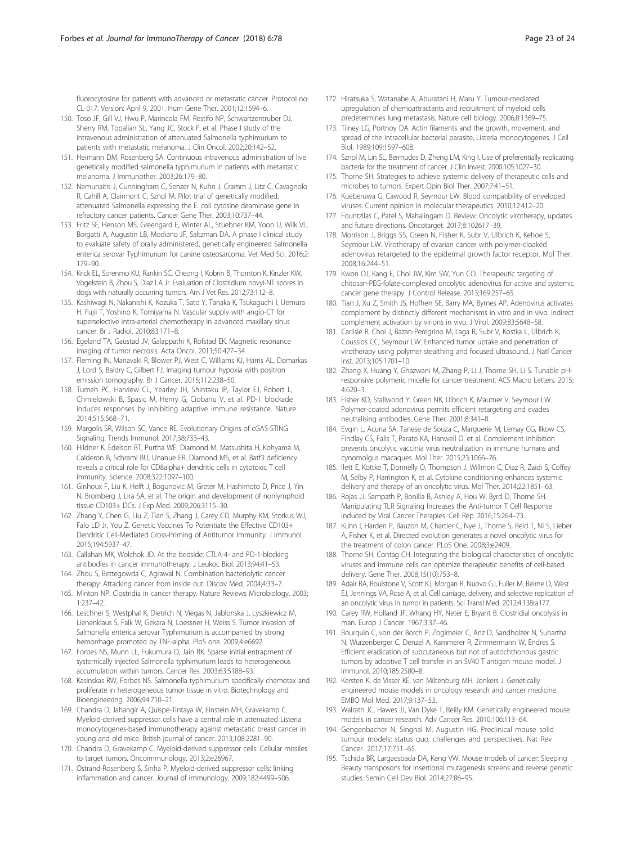<span id="page-22-0"></span>fluorocytosine for patients with advanced or metastatic cancer. Protocol no: CL-017. Version: April 9, 2001. Hum Gene Ther. 2001;12:1594–6.

- 150. Toso JF, Gill VJ, Hwu P, Marincola FM, Restifo NP, Schwartzentruber DJ, Sherry RM, Topalian SL, Yang JC, Stock F, et al. Phase I study of the intravenous administration of attenuated Salmonella typhimurium to patients with metastatic melanoma. J Clin Oncol. 2002;20:142–52.
- 151. Heimann DM, Rosenberg SA. Continuous intravenous administration of live genetically modified salmonella typhimurium in patients with metastatic melanoma. J Immunother. 2003;26:179–80.
- 152. Nemunaitis J, Cunningham C, Senzer N, Kuhn J, Cramm J, Litz C, Cavagnolo R, Cahill A, Clairmont C, Sznol M. Pilot trial of genetically modified, attenuated Salmonella expressing the E. coli cytosine deaminase gene in refractory cancer patients. Cancer Gene Ther. 2003;10:737–44.
- 153. Fritz SE, Henson MS, Greengard E, Winter AL, Stuebner KM, Yoon U, Wilk VL, Borgatti A, Augustin LB, Modiano JF, Saltzman DA. A phase I clinical study to evaluate safety of orally administered, genetically engineered Salmonella enterica serovar Typhimurium for canine osteosarcoma. Vet Med Sci. 2016;2: 179–90.
- 154. Krick EL, Sorenmo KU, Rankin SC, Cheong I, Kobrin B, Thornton K, Kinzler KW, Vogelstein B, Zhou S, Diaz LA Jr. Evaluation of Clostridium novyi-NT spores in dogs with naturally occurring tumors. Am J Vet Res. 2012;73:112–8.
- 155. Kashiwagi N, Nakanishi K, Kozuka T, Sato Y, Tanaka K, Tsukaguchi I, Uemura H, Fujii T, Yoshino K, Tomiyama N. Vascular supply with angio-CT for superselective intra-arterial chemotherapy in advanced maxillary sinus cancer. Br J Radiol. 2010;83:171–8.
- 156. Egeland TA, Gaustad JV, Galappathi K, Rofstad EK. Magnetic resonance imaging of tumor necrosis. Acta Oncol. 2011;50:427–34.
- 157. Fleming IN, Manavaki R, Blower PJ, West C, Williams KJ, Harris AL, Domarkas J, Lord S, Baldry C, Gilbert FJ. Imaging tumour hypoxia with positron emission tomography. Br J Cancer. 2015;112:238–50.
- 158. Tumeh PC, Harview CL, Yearley JH, Shintaku IP, Taylor EJ, Robert L, Chmielowski B, Spasic M, Henry G, Ciobanu V, et al. PD-1 blockade induces responses by inhibiting adaptive immune resistance. Nature. 2014;515:568–71.
- 159. Margolis SR, Wilson SC, Vance RE. Evolutionary Origins of cGAS-STING Signaling. Trends Immunol. 2017;38:733–43.
- 160. Hildner K, Edelson BT, Purtha WE, Diamond M, Matsushita H, Kohyama M, Calderon B, Schraml BU, Unanue ER, Diamond MS, et al. Batf3 deficiency reveals a critical role for CD8alpha+ dendritic cells in cytotoxic T cell immunity. Science. 2008;322:1097–100.
- 161. Ginhoux F, Liu K, Helft J, Bogunovic M, Greter M, Hashimoto D, Price J, Yin N, Bromberg J, Lira SA, et al. The origin and development of nonlymphoid tissue CD103+ DCs. J Exp Med. 2009;206:3115–30.
- 162. Zhang Y, Chen G, Liu Z, Tian S, Zhang J, Carey CD, Murphy KM, Storkus WJ, Falo LD Jr, You Z. Genetic Vaccines To Potentiate the Effective CD103+ Dendritic Cell-Mediated Cross-Priming of Antitumor Immunity. J Immunol. 2015;194:5937–47.
- 163. Callahan MK, Wolchok JD. At the bedside: CTLA-4- and PD-1-blocking antibodies in cancer immunotherapy. J Leukoc Biol. 2013;94:41–53. 164. Zhou S, Bettegowda C, Agrawal N. Combination bacteriolytic cancer
- therapy: Attacking cancer from inside out. Discov Med. 2004;4:33–7.
- 165. Minton NP. Clostridia in cancer therapy. Nature Reviews Microbiology. 2003; 1:237–42.
- 166. Leschner S, Westphal K, Dietrich N, Viegas N, Jablonska J, Lyszkiewicz M, Lienenklaus S, Falk W, Gekara N, Loessner H, Weiss S. Tumor invasion of Salmonella enterica serovar Typhimurium is accompanied by strong hemorrhage promoted by TNF-alpha. PloS one. 2009;4:e6692.
- 167. Forbes NS, Munn LL, Fukumura D, Jain RK. Sparse initial entrapment of systemically injected Salmonella typhimurium leads to heterogeneous accumulation within tumors. Cancer Res. 2003;63:5188–93.
- 168. Kasinskas RW, Forbes NS. Salmonella typhimurium specifically chemotax and proliferate in heterogeneous tumor tissue in vitro. Biotechnology and Bioengineering. 2006;94:710–21.
- 169. Chandra D, Jahangir A, Quispe-Tintaya W, Einstein MH, Gravekamp C. Myeloid-derived suppressor cells have a central role in attenuated Listeria monocytogenes-based immunotherapy against metastatic breast cancer in young and old mice. British journal of cancer. 2013;108:2281–90.
- 170. Chandra D, Gravekamp C. Myeloid-derived suppressor cells: Cellular missiles to target tumors. Oncoimmunology. 2013;2:e26967.
- 171. Ostrand-Rosenberg S, Sinha P. Myeloid-derived suppressor cells: linking inflammation and cancer. Journal of immunology. 2009;182:4499–506.
- 172. Hiratsuka S, Watanabe A, Aburatani H, Maru Y. Tumour-mediated upregulation of chemoattractants and recruitment of myeloid cells predetermines lung metastasis. Nature cell biology. 2006;8:1369–75.
- 173. Tilney LG, Portnoy DA. Actin filaments and the growth, movement, and spread of the intracellular bacterial parasite, Listeria monocytogenes. J Cell Biol. 1989;109:1597–608.
- 174. Sznol M, Lin SL, Bermudes D, Zheng LM, King I. Use of preferentially replicating bacteria for the treatment of cancer. J Clin Invest. 2000;105:1027–30.
- 175. Thorne SH. Strategies to achieve systemic delivery of therapeutic cells and microbes to tumors. Expert Opin Biol Ther. 2007;7:41–51.
- 176. Kueberuwa G, Cawood R, Seymour LW. Blood compatibility of enveloped viruses. Current opinion in molecular therapeutics. 2010;12:412–20.
- 177. Fountzilas C, Patel S, Mahalingam D. Review: Oncolytic virotherapy, updates and future directions. Oncotarget. 2017;8:102617–39.
- 178. Morrison J, Briggs SS, Green N, Fisher K, Subr V, Ulbrich K, Kehoe S, Seymour LW. Virotherapy of ovarian cancer with polymer-cloaked adenovirus retargeted to the epidermal growth factor receptor. Mol Ther. 2008;16:244–51.
- 179. Kwon OJ, Kang E, Choi JW, Kim SW, Yun CO. Therapeutic targeting of chitosan-PEG-folate-complexed oncolytic adenovirus for active and systemic cancer gene therapy. J Control Release. 2013;169:257–65.
- 180. Tian J, Xu Z, Smith JS, Hofherr SE, Barry MA, Byrnes AP. Adenovirus activates complement by distinctly different mechanisms in vitro and in vivo: indirect complement activation by virions in vivo. J Virol. 2009;83:5648–58.
- 181. Carlisle R, Choi J, Bazan-Peregrino M, Laga R, Subr V, Kostka L, Ulbrich K, Coussios CC, Seymour LW. Enhanced tumor uptake and penetration of virotherapy using polymer stealthing and focused ultrasound. J Natl Cancer Inst. 2013;105:1701–10.
- 182. Zhang X, Huang Y, Ghazwani M, Zhang P, Li J, Thorne SH, Li S. Tunable pHresponsive polymeric micelle for cancer treatment. ACS Macro Letters. 2015; 4:620–3.
- 183. Fisher KD, Stallwood Y, Green NK, Ulbrich K, Mautner V, Seymour LW. Polymer-coated adenovirus permits efficient retargeting and evades neutralising antibodies. Gene Ther. 2001;8:341–8.
- 184. Evgin L, Acuna SA, Tanese de Souza C, Marguerie M, Lemay CG, Ilkow CS, Findlay CS, Falls T, Parato KA, Hanwell D, et al. Complement inhibition prevents oncolytic vaccinia virus neutralization in immune humans and cynomolgus macaques. Mol Ther. 2015;23:1066–76.
- 185. Ilett E, Kottke T, Donnelly O, Thompson J, Willmon C, Diaz R, Zaidi S, Coffey M, Selby P, Harrington K, et al. Cytokine conditioning enhances systemic delivery and therapy of an oncolytic virus. Mol Ther. 2014;22:1851–63.
- 186. Rojas JJ, Sampath P, Bonilla B, Ashley A, Hou W, Byrd D, Thorne SH. Manipulating TLR Signaling Increases the Anti-tumor T Cell Response Induced by Viral Cancer Therapies. Cell Rep. 2016;15:264–73.
- 187. Kuhn I, Harden P, Bauzon M, Chartier C, Nye J, Thorne S, Reid T, Ni S, Lieber A, Fisher K, et al. Directed evolution generates a novel oncolytic virus for the treatment of colon cancer. PLoS One. 2008;3:e2409.
- 188. Thorne SH, Contag CH. Integrating the biological characteristics of oncolytic viruses and immune cells can optimize therapeutic benefits of cell-based delivery. Gene Ther. 2008;15(10):753–8.
- 189. Adair RA, Roulstone V, Scott KJ, Morgan R, Nuovo GJ, Fuller M, Beirne D, West EJ, Jennings VA, Rose A, et al. Cell carriage, delivery, and selective replication of an oncolytic virus in tumor in patients. Sci Transl Med. 2012;4:138ra177.
- 190. Carey RW, Holland JF, Whang HY, Neter E, Bryant B. Clostridial oncolysis in man. Europ J Cancer. 1967;3:37–46.
- 191. Bourquin C, von der Borch P, Zoglmeier C, Anz D, Sandholzer N, Suhartha N, Wurzenberger C, Denzel A, Kammerer R, Zimmermann W, Endres S. Efficient eradication of subcutaneous but not of autochthonous gastric tumors by adoptive T cell transfer in an SV40 T antigen mouse model. J Immunol. 2010;185:2580–8.
- 192. Kersten K, de Visser KE, van Miltenburg MH, Jonkers J. Genetically engineered mouse models in oncology research and cancer medicine. EMBO Mol Med. 2017;9:137–53.
- 193. Walrath JC, Hawes JJ, Van Dyke T, Reilly KM. Genetically engineered mouse models in cancer research. Adv Cancer Res. 2010;106:113–64.
- 194. Gengenbacher N, Singhal M, Augustin HG. Preclinical mouse solid tumour models: status quo, challenges and perspectives. Nat Rev Cancer. 2017;17:751–65.
- 195. Tschida BR, Largaespada DA, Keng VW. Mouse models of cancer: Sleeping Beauty transposons for insertional mutagenesis screens and reverse genetic studies. Semin Cell Dev Biol. 2014;27:86–95.